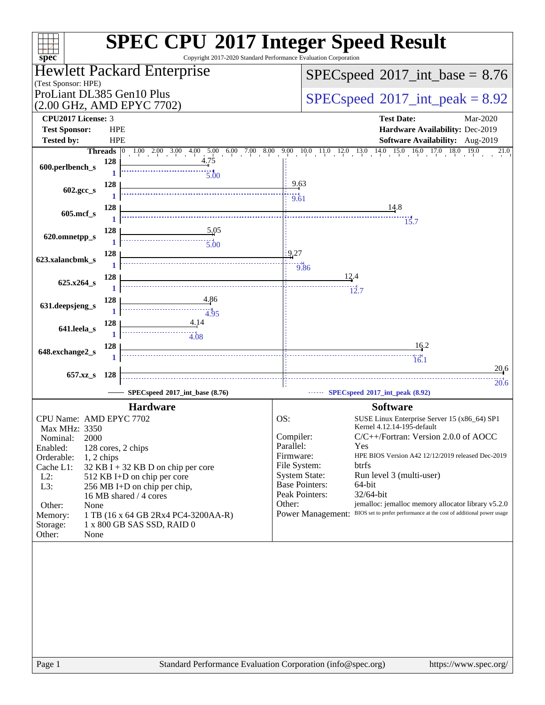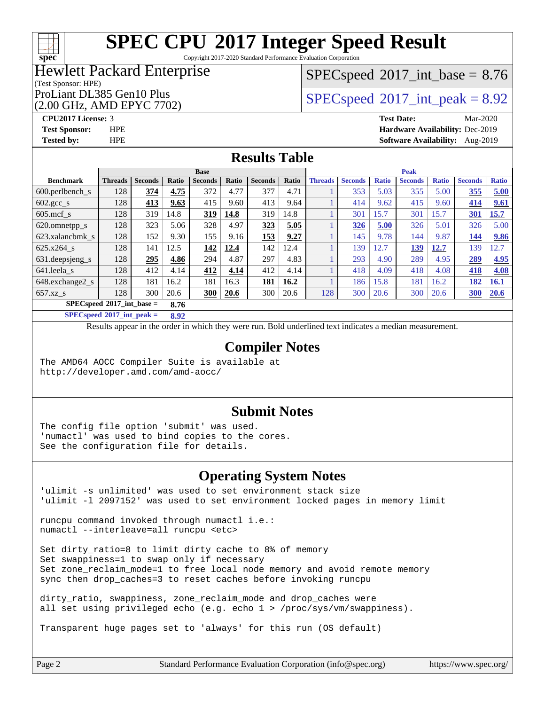

Copyright 2017-2020 Standard Performance Evaluation Corporation

## Hewlett Packard Enterprise

#### (Test Sponsor: HPE)

(2.00 GHz, AMD EPYC 7702)

 $SPECspeed^{\circ}2017\_int\_base = 8.76$  $SPECspeed^{\circ}2017\_int\_base = 8.76$ 

ProLiant DL385 Gen10 Plus  $SPEC speed@2017$ \_int\_peak = 8.92

**[CPU2017 License:](http://www.spec.org/auto/cpu2017/Docs/result-fields.html#CPU2017License)** 3 **[Test Date:](http://www.spec.org/auto/cpu2017/Docs/result-fields.html#TestDate)** Mar-2020 **[Test Sponsor:](http://www.spec.org/auto/cpu2017/Docs/result-fields.html#TestSponsor)** HPE **[Hardware Availability:](http://www.spec.org/auto/cpu2017/Docs/result-fields.html#HardwareAvailability)** Dec-2019 **[Tested by:](http://www.spec.org/auto/cpu2017/Docs/result-fields.html#Testedby)** HPE **[Software Availability:](http://www.spec.org/auto/cpu2017/Docs/result-fields.html#SoftwareAvailability)** Aug-2019

## **[Results Table](http://www.spec.org/auto/cpu2017/Docs/result-fields.html#ResultsTable)**

|                                     | <b>Base</b>    |                |       |                |       | <b>Peak</b>    |       |                |                |              |                |              |                |              |
|-------------------------------------|----------------|----------------|-------|----------------|-------|----------------|-------|----------------|----------------|--------------|----------------|--------------|----------------|--------------|
| <b>Benchmark</b>                    | <b>Threads</b> | <b>Seconds</b> | Ratio | <b>Seconds</b> | Ratio | <b>Seconds</b> | Ratio | <b>Threads</b> | <b>Seconds</b> | <b>Ratio</b> | <b>Seconds</b> | <b>Ratio</b> | <b>Seconds</b> | <b>Ratio</b> |
| $600.$ perlbench $\mathsf{S}$       | 128            | 374            | 4.75  | 372            | 4.77  | 377            | 4.71  |                | 353            | 5.03         | 355            | 5.00         | 355            | 5.00         |
| $602.\text{gcc}\_\text{s}$          | 128            | 413            | 9.63  | 415            | 9.60  | 413            | 9.64  |                | 414            | 9.62         | 415            | 9.60         | 414            | 9.61         |
| $605$ .mcf s                        | 128            | 319            | 14.8  | 319            | 14.8  | 319            | 14.8  |                | 301            | 15.7         | 301            | 15.7         | 301            | 15.7         |
| 620.omnetpp_s                       | 128            | 323            | 5.06  | 328            | 4.97  | 323            | 5.05  |                | 326            | 5.00         | 326            | 5.01         | 326            | 5.00         |
| 623.xalancbmk s                     | 128            | 152            | 9.30  | 155            | 9.16  | 153            | 9.27  |                | 145            | 9.78         | 144            | 9.87         | 144            | 9.86         |
| 625.x264 s                          | 128            | 141            | 12.5  | 142            | 12.4  | 142            | 12.4  |                | 139            | 12.7         | 139            | 12.7         | 139            | 12.7         |
| 631.deepsjeng_s                     | 128            | 295            | 4.86  | 294            | 4.87  | 297            | 4.83  |                | 293            | 4.90         | 289            | 4.95         | 289            | 4.95         |
| 641.leela s                         | 128            | 412            | 4.14  | 412            | 4.14  | 412            | 4.14  |                | 418            | 4.09         | 418            | 4.08         | 418            | 4.08         |
| 648.exchange2 s                     | 128            | 181            | 16.2  | 181            | 16.3  | 181            | 16.2  |                | 186            | 15.8         | 181            | 16.2         | 182            | <b>16.1</b>  |
| $657.xz$ <sub>S</sub>               | 128            | 300            | 20.6  | <b>300</b>     | 20.6  | 300            | 20.6  | 128            | 300            | 20.6         | 300            | 20.6         | 300            | 20.6         |
| $SPECspeed*2017$ int base =<br>8.76 |                |                |       |                |       |                |       |                |                |              |                |              |                |              |

**[SPECspeed](http://www.spec.org/auto/cpu2017/Docs/result-fields.html#SPECspeed2017intpeak)[2017\\_int\\_peak =](http://www.spec.org/auto/cpu2017/Docs/result-fields.html#SPECspeed2017intpeak) 8.92**

Results appear in the [order in which they were run.](http://www.spec.org/auto/cpu2017/Docs/result-fields.html#RunOrder) Bold underlined text [indicates a median measurement](http://www.spec.org/auto/cpu2017/Docs/result-fields.html#Median).

## **[Compiler Notes](http://www.spec.org/auto/cpu2017/Docs/result-fields.html#CompilerNotes)**

The AMD64 AOCC Compiler Suite is available at <http://developer.amd.com/amd-aocc/>

### **[Submit Notes](http://www.spec.org/auto/cpu2017/Docs/result-fields.html#SubmitNotes)**

The config file option 'submit' was used. 'numactl' was used to bind copies to the cores. See the configuration file for details.

## **[Operating System Notes](http://www.spec.org/auto/cpu2017/Docs/result-fields.html#OperatingSystemNotes)**

'ulimit -s unlimited' was used to set environment stack size 'ulimit -l 2097152' was used to set environment locked pages in memory limit

runcpu command invoked through numactl i.e.: numactl --interleave=all runcpu <etc>

Set dirty\_ratio=8 to limit dirty cache to 8% of memory Set swappiness=1 to swap only if necessary Set zone\_reclaim\_mode=1 to free local node memory and avoid remote memory sync then drop\_caches=3 to reset caches before invoking runcpu

dirty ratio, swappiness, zone reclaim mode and drop caches were all set using privileged echo (e.g. echo 1 > /proc/sys/vm/swappiness).

Transparent huge pages set to 'always' for this run (OS default)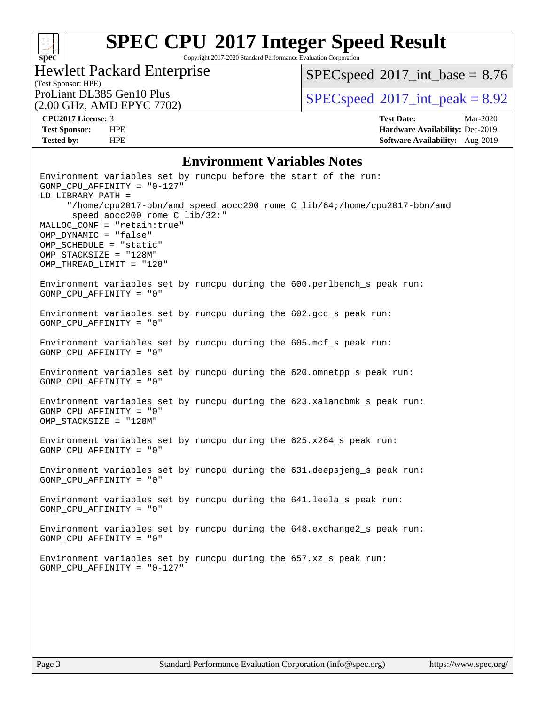

Copyright 2017-2020 Standard Performance Evaluation Corporation

(Test Sponsor: HPE)<br>ProLiant DL385 Gen10 Plus Hewlett Packard Enterprise (2.00 GHz, AMD EPYC 7702)

 $SPEC speed$ <sup>®</sup> $2017$ \_int\_base = 8.76

 $SPECspeed*2017\_int\_peak = 8.92$  $SPECspeed*2017\_int\_peak = 8.92$ 

**[CPU2017 License:](http://www.spec.org/auto/cpu2017/Docs/result-fields.html#CPU2017License)** 3 **[Test Date:](http://www.spec.org/auto/cpu2017/Docs/result-fields.html#TestDate)** Mar-2020 **[Test Sponsor:](http://www.spec.org/auto/cpu2017/Docs/result-fields.html#TestSponsor)** HPE **[Hardware Availability:](http://www.spec.org/auto/cpu2017/Docs/result-fields.html#HardwareAvailability)** Dec-2019 **[Tested by:](http://www.spec.org/auto/cpu2017/Docs/result-fields.html#Testedby)** HPE **[Software Availability:](http://www.spec.org/auto/cpu2017/Docs/result-fields.html#SoftwareAvailability)** Aug-2019

## **[Environment Variables Notes](http://www.spec.org/auto/cpu2017/Docs/result-fields.html#EnvironmentVariablesNotes)**

| Environment variables set by runcpu before the start of the run:<br>GOMP_CPU_AFFINITY = $"0-127"$<br>LD_LIBRARY_PATH =<br>"/home/cpu2017-bbn/amd_speed_aocc200_rome_C_lib/64;/home/cpu2017-bbn/amd<br>_speed_aocc200_rome_C_lib/32:"<br>MALLOC_CONF = "retain:true"<br>OMP_DYNAMIC = "false"<br>OMP_SCHEDULE = "static"<br>OMP STACKSIZE = "128M"<br>OMP_THREAD_LIMIT = "128" |
|-------------------------------------------------------------------------------------------------------------------------------------------------------------------------------------------------------------------------------------------------------------------------------------------------------------------------------------------------------------------------------|
| Environment variables set by runcpu during the 600.perlbench_s peak run:<br>GOMP CPU AFFINITY = "0"                                                                                                                                                                                                                                                                           |
| Environment variables set by runcpu during the 602.gcc_s peak run:<br>GOMP CPU AFFINITY = "0"                                                                                                                                                                                                                                                                                 |
| Environment variables set by runcpu during the 605.mcf_s peak run:<br>GOMP CPU AFFINITY = "0"                                                                                                                                                                                                                                                                                 |
| Environment variables set by runcpu during the 620.omnetpp_s peak run:<br>GOMP_CPU_AFFINITY = "0"                                                                                                                                                                                                                                                                             |
| Environment variables set by runcpu during the 623.xalancbmk_s peak run:<br>GOMP_CPU_AFFINITY = "0"<br>$OMP\_STACKSIZE = "128M"$                                                                                                                                                                                                                                              |
| Environment variables set by runcpu during the 625.x264_s peak run:<br>GOMP CPU AFFINITY = "0"                                                                                                                                                                                                                                                                                |
| Environment variables set by runcpu during the 631.deepsjeng_s peak run:<br>GOMP CPU AFFINITY = "0"                                                                                                                                                                                                                                                                           |
| Environment variables set by runcpu during the 641.leela_s peak run:<br>GOMP CPU AFFINITY = "0"                                                                                                                                                                                                                                                                               |
| Environment variables set by runcpu during the 648. exchange2_s peak run:<br>GOMP CPU AFFINITY = "0"                                                                                                                                                                                                                                                                          |
| Environment variables set by runcpu during the 657.xz_s peak run:<br>GOMP_CPU_AFFINITY = $"0-127"$                                                                                                                                                                                                                                                                            |
|                                                                                                                                                                                                                                                                                                                                                                               |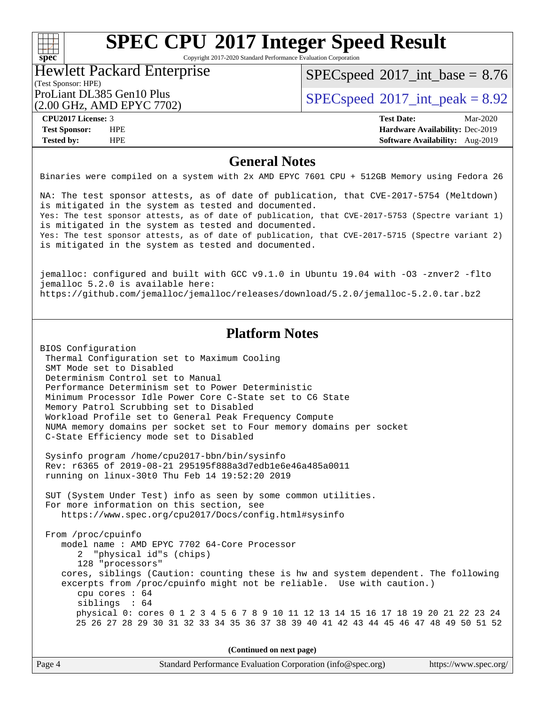## $\pm \frac{1}{L}$ **[spec](http://www.spec.org/)**

# **[SPEC CPU](http://www.spec.org/auto/cpu2017/Docs/result-fields.html#SPECCPU2017IntegerSpeedResult)[2017 Integer Speed Result](http://www.spec.org/auto/cpu2017/Docs/result-fields.html#SPECCPU2017IntegerSpeedResult)**

Copyright 2017-2020 Standard Performance Evaluation Corporation

#### (Test Sponsor: HPE) Hewlett Packard Enterprise

 $SPECspeed^{\circledcirc}2017\_int\_base = 8.76$  $SPECspeed^{\circledcirc}2017\_int\_base = 8.76$ 

(2.00 GHz, AMD EPYC 7702)

ProLiant DL385 Gen10 Plus  $SPEC speed@2017$ \_int\_peak = 8.92

**[CPU2017 License:](http://www.spec.org/auto/cpu2017/Docs/result-fields.html#CPU2017License)** 3 **[Test Date:](http://www.spec.org/auto/cpu2017/Docs/result-fields.html#TestDate)** Mar-2020 **[Test Sponsor:](http://www.spec.org/auto/cpu2017/Docs/result-fields.html#TestSponsor)** HPE **[Hardware Availability:](http://www.spec.org/auto/cpu2017/Docs/result-fields.html#HardwareAvailability)** Dec-2019 **[Tested by:](http://www.spec.org/auto/cpu2017/Docs/result-fields.html#Testedby)** HPE **[Software Availability:](http://www.spec.org/auto/cpu2017/Docs/result-fields.html#SoftwareAvailability)** Aug-2019

## **[General Notes](http://www.spec.org/auto/cpu2017/Docs/result-fields.html#GeneralNotes)**

Binaries were compiled on a system with 2x AMD EPYC 7601 CPU + 512GB Memory using Fedora 26

NA: The test sponsor attests, as of date of publication, that CVE-2017-5754 (Meltdown) is mitigated in the system as tested and documented. Yes: The test sponsor attests, as of date of publication, that CVE-2017-5753 (Spectre variant 1) is mitigated in the system as tested and documented. Yes: The test sponsor attests, as of date of publication, that CVE-2017-5715 (Spectre variant 2) is mitigated in the system as tested and documented.

jemalloc: configured and built with GCC v9.1.0 in Ubuntu 19.04 with -O3 -znver2 -flto jemalloc 5.2.0 is available here: <https://github.com/jemalloc/jemalloc/releases/download/5.2.0/jemalloc-5.2.0.tar.bz2>

## **[Platform Notes](http://www.spec.org/auto/cpu2017/Docs/result-fields.html#PlatformNotes)**

BIOS Configuration Thermal Configuration set to Maximum Cooling SMT Mode set to Disabled Determinism Control set to Manual Performance Determinism set to Power Deterministic Minimum Processor Idle Power Core C-State set to C6 State Memory Patrol Scrubbing set to Disabled Workload Profile set to General Peak Frequency Compute NUMA memory domains per socket set to Four memory domains per socket C-State Efficiency mode set to Disabled

 Sysinfo program /home/cpu2017-bbn/bin/sysinfo Rev: r6365 of 2019-08-21 295195f888a3d7edb1e6e46a485a0011 running on linux-30t0 Thu Feb 14 19:52:20 2019

 SUT (System Under Test) info as seen by some common utilities. For more information on this section, see <https://www.spec.org/cpu2017/Docs/config.html#sysinfo>

 From /proc/cpuinfo model name : AMD EPYC 7702 64-Core Processor 2 "physical id"s (chips) 128 "processors" cores, siblings (Caution: counting these is hw and system dependent. The following excerpts from /proc/cpuinfo might not be reliable. Use with caution.) cpu cores : 64 siblings : 64 physical 0: cores 0 1 2 3 4 5 6 7 8 9 10 11 12 13 14 15 16 17 18 19 20 21 22 23 24 25 26 27 28 29 30 31 32 33 34 35 36 37 38 39 40 41 42 43 44 45 46 47 48 49 50 51 52

**(Continued on next page)**

| Page 4 | Standard Performance Evaluation Corporation (info@spec.org) | https://www.spec.org/ |
|--------|-------------------------------------------------------------|-----------------------|
|--------|-------------------------------------------------------------|-----------------------|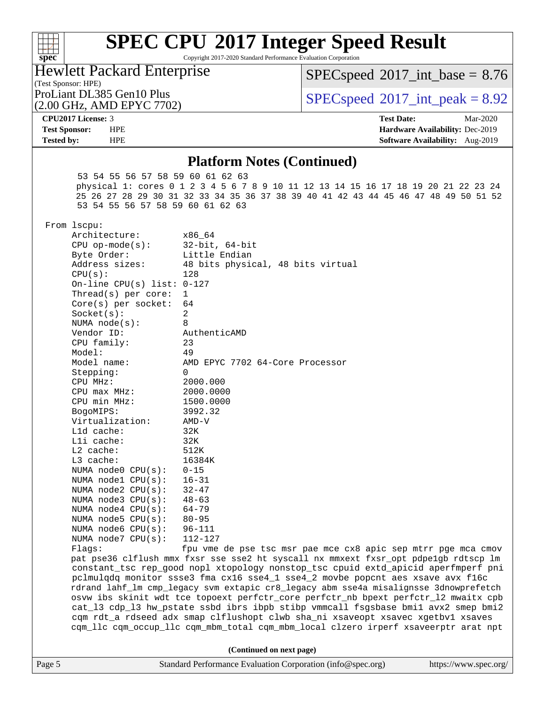

Copyright 2017-2020 Standard Performance Evaluation Corporation

Hewlett Packard Enterprise

 $SPECspeed^{\circ}2017\_int\_base = 8.76$  $SPECspeed^{\circ}2017\_int\_base = 8.76$ 

(Test Sponsor: HPE)

(2.00 GHz, AMD EPYC 7702)

ProLiant DL385 Gen10 Plus  $SPEC speed@2017$ \_int\_peak = 8.92

**[CPU2017 License:](http://www.spec.org/auto/cpu2017/Docs/result-fields.html#CPU2017License)** 3 **[Test Date:](http://www.spec.org/auto/cpu2017/Docs/result-fields.html#TestDate)** Mar-2020 **[Test Sponsor:](http://www.spec.org/auto/cpu2017/Docs/result-fields.html#TestSponsor)** HPE **[Hardware Availability:](http://www.spec.org/auto/cpu2017/Docs/result-fields.html#HardwareAvailability)** Dec-2019 **[Tested by:](http://www.spec.org/auto/cpu2017/Docs/result-fields.html#Testedby)** HPE **[Software Availability:](http://www.spec.org/auto/cpu2017/Docs/result-fields.html#SoftwareAvailability)** Aug-2019

## **[Platform Notes \(Continued\)](http://www.spec.org/auto/cpu2017/Docs/result-fields.html#PlatformNotes)**

 53 54 55 56 57 58 59 60 61 62 63 physical 1: cores 0 1 2 3 4 5 6 7 8 9 10 11 12 13 14 15 16 17 18 19 20 21 22 23 24 25 26 27 28 29 30 31 32 33 34 35 36 37 38 39 40 41 42 43 44 45 46 47 48 49 50 51 52 53 54 55 56 57 58 59 60 61 62 63 From lscpu: Architecture: x86\_64<br>CPU op-mode(s): 32-bit, 64-bit CPU op-mode $(s):$ Byte Order: Little Endian

| Address sizes:               | 48 bits physical, 48 bits virtual                                                    |
|------------------------------|--------------------------------------------------------------------------------------|
| CPU(s):                      | 128                                                                                  |
| On-line CPU(s) list: $0-127$ |                                                                                      |
| Thread( $s$ ) per core:      | $\mathbf{1}$                                                                         |
| $Core(s)$ per socket:        | 64                                                                                   |
| Socket(s):                   | 2                                                                                    |
| NUMA $node(s):$              | 8                                                                                    |
| Vendor ID:                   | AuthenticAMD                                                                         |
| CPU family:                  | 23                                                                                   |
| Model:                       | 49                                                                                   |
| Model name:                  | AMD EPYC 7702 64-Core Processor                                                      |
| Stepping:                    | $\Omega$                                                                             |
| CPU MHz:                     | 2000.000                                                                             |
| CPU max MHz:                 | 2000.0000                                                                            |
| CPU min MHz:                 | 1500.0000                                                                            |
| BogoMIPS:                    | 3992.32                                                                              |
| Virtualization:              | $AMD-V$                                                                              |
| L1d cache:                   | 32K                                                                                  |
| Lli cache:                   | 32K                                                                                  |
| $L2$ cache:                  | 512K                                                                                 |
| L3 cache:                    | 16384K                                                                               |
| NUMA node0 CPU(s):           | $0 - 15$                                                                             |
| NUMA nodel CPU(s):           | $16 - 31$                                                                            |
| NUMA $node2$ $CPU(s)$ :      | $32 - 47$                                                                            |
| NUMA node3 CPU(s):           | $48 - 63$                                                                            |
| NUMA node4 CPU(s):           | 64-79                                                                                |
| NUMA node5 $CPU(s):$         | $80 - 95$                                                                            |
| NUMA node6 $CPU(s):$         | $96 - 111$                                                                           |
| NUMA node7 CPU(s):           | $112 - 127$                                                                          |
| Flagg:                       | fpu vme de pse tsc msr pae mce cx8 apic sep mtrr pge mca cmov                        |
|                              | pat pse36 clflush mmx fxsr sse sse2 ht syscall nx mmxext fxsr_opt pdpe1gb rdtscp lm  |
|                              | constant tsc rep good nopl xtopology nonstop tsc cpuid extd apicid aperfmperf pni    |
|                              | pclmulqdq monitor ssse3 fma cx16 sse4_1 sse4_2 movbe popcnt aes xsave avx f16c       |
|                              | rdrand lahf_lm cmp_legacy svm extapic cr8_legacy abm sse4a misalignsse 3dnowprefetch |
|                              | osvw ibs skinit wdt tce topoext perfctr_core perfctr_nb bpext perfctr_12 mwaitx cpb  |
|                              | cat 13 cdp 13 hw pstate ssbd ibrs ibpb stibp vmmcall fsgsbase bmil avx2 smep bmi2    |

**(Continued on next page)**

 cqm rdt\_a rdseed adx smap clflushopt clwb sha\_ni xsaveopt xsavec xgetbv1 xsaves cqm\_llc cqm\_occup\_llc cqm\_mbm\_total cqm\_mbm\_local clzero irperf xsaveerptr arat npt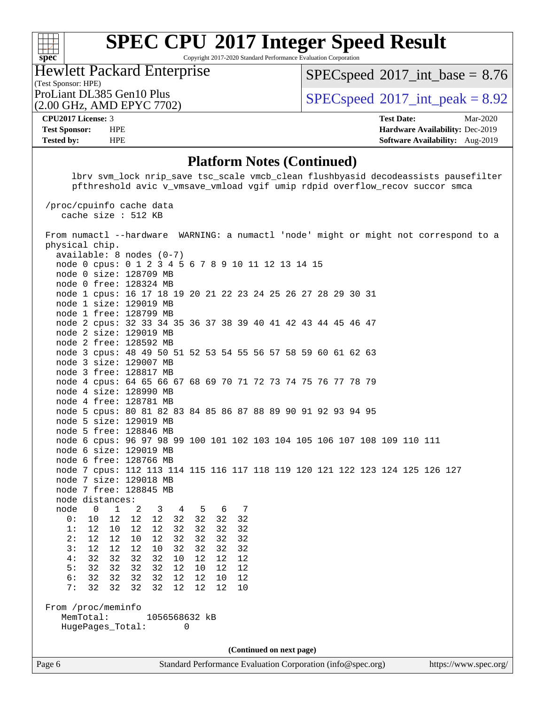

Copyright 2017-2020 Standard Performance Evaluation Corporation

(Test Sponsor: HPE) Hewlett Packard Enterprise

(2.00 GHz, AMD EPYC 7702)

 $SPECspeed^{\circ}2017\_int\_base = 8.76$  $SPECspeed^{\circ}2017\_int\_base = 8.76$ 

ProLiant DL385 Gen10 Plus  $SPEC speed@2017$ \_int\_peak = 8.92

**[CPU2017 License:](http://www.spec.org/auto/cpu2017/Docs/result-fields.html#CPU2017License)** 3 **[Test Date:](http://www.spec.org/auto/cpu2017/Docs/result-fields.html#TestDate)** Mar-2020 **[Test Sponsor:](http://www.spec.org/auto/cpu2017/Docs/result-fields.html#TestSponsor)** HPE **[Hardware Availability:](http://www.spec.org/auto/cpu2017/Docs/result-fields.html#HardwareAvailability)** Dec-2019 **[Tested by:](http://www.spec.org/auto/cpu2017/Docs/result-fields.html#Testedby)** HPE **[Software Availability:](http://www.spec.org/auto/cpu2017/Docs/result-fields.html#SoftwareAvailability)** Aug-2019

### **[Platform Notes \(Continued\)](http://www.spec.org/auto/cpu2017/Docs/result-fields.html#PlatformNotes)**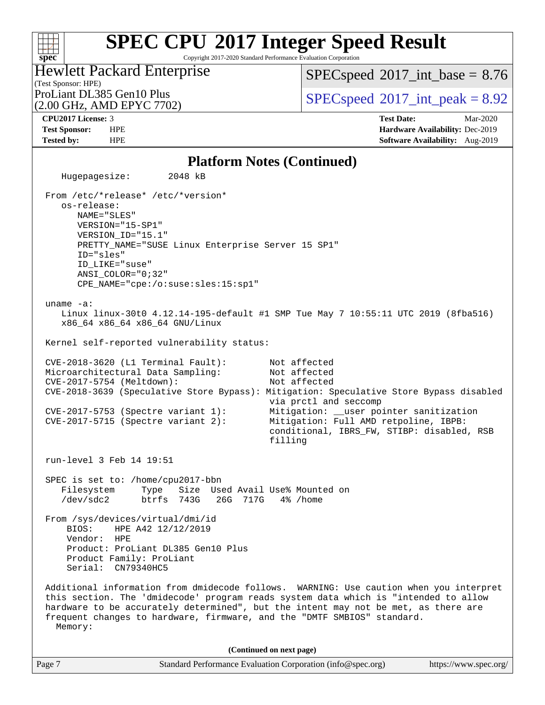Copyright 2017-2020 Standard Performance Evaluation Corporation

## (Test Sponsor: HPE) Hewlett Packard Enterprise (2.00 GHz, AMD EPYC 7702)

 $SPECspeed^{\circ}2017\_int\_base = 8.76$  $SPECspeed^{\circ}2017\_int\_base = 8.76$ 

ProLiant DL385 Gen10 Plus  $SPEC speed@2017$ \_int\_peak = 8.92

**[spec](http://www.spec.org/)**

 $+\ +$ 

**[CPU2017 License:](http://www.spec.org/auto/cpu2017/Docs/result-fields.html#CPU2017License)** 3 **[Test Date:](http://www.spec.org/auto/cpu2017/Docs/result-fields.html#TestDate)** Mar-2020 **[Test Sponsor:](http://www.spec.org/auto/cpu2017/Docs/result-fields.html#TestSponsor)** HPE **[Hardware Availability:](http://www.spec.org/auto/cpu2017/Docs/result-fields.html#HardwareAvailability)** Dec-2019 **[Tested by:](http://www.spec.org/auto/cpu2017/Docs/result-fields.html#Testedby)** HPE **[Software Availability:](http://www.spec.org/auto/cpu2017/Docs/result-fields.html#SoftwareAvailability)** Aug-2019

## **[Platform Notes \(Continued\)](http://www.spec.org/auto/cpu2017/Docs/result-fields.html#PlatformNotes)**

Page 7 Standard Performance Evaluation Corporation [\(info@spec.org\)](mailto:info@spec.org) <https://www.spec.org/> Hugepagesize: 2048 kB From /etc/\*release\* /etc/\*version\* os-release: NAME="SLES" VERSION="15-SP1" VERSION\_ID="15.1" PRETTY\_NAME="SUSE Linux Enterprise Server 15 SP1" ID="sles" ID\_LIKE="suse" ANSI\_COLOR="0;32" CPE\_NAME="cpe:/o:suse:sles:15:sp1" uname -a: Linux linux-30t0 4.12.14-195-default #1 SMP Tue May 7 10:55:11 UTC 2019 (8fba516) x86\_64 x86\_64 x86\_64 GNU/Linux Kernel self-reported vulnerability status: CVE-2018-3620 (L1 Terminal Fault): Not affected<br>Microarchitectural Data Sampling: Not affected Microarchitectural Data Sampling: CVE-2017-5754 (Meltdown): Not affected CVE-2018-3639 (Speculative Store Bypass): Mitigation: Speculative Store Bypass disabled via prctl and seccomp CVE-2017-5753 (Spectre variant 1): Mitigation: \_\_user pointer sanitization CVE-2017-5715 (Spectre variant 2): Mitigation: Full AMD retpoline, IBPB: conditional, IBRS\_FW, STIBP: disabled, RSB filling run-level 3 Feb 14 19:51 SPEC is set to: /home/cpu2017-bbn Filesystem Type Size Used Avail Use% Mounted on /dev/sdc2 btrfs 743G 26G 717G 4% /home From /sys/devices/virtual/dmi/id BIOS: HPE A42 12/12/2019 Vendor: HPE Product: ProLiant DL385 Gen10 Plus Product Family: ProLiant Serial: CN79340HC5 Additional information from dmidecode follows. WARNING: Use caution when you interpret this section. The 'dmidecode' program reads system data which is "intended to allow hardware to be accurately determined", but the intent may not be met, as there are frequent changes to hardware, firmware, and the "DMTF SMBIOS" standard. Memory: **(Continued on next page)**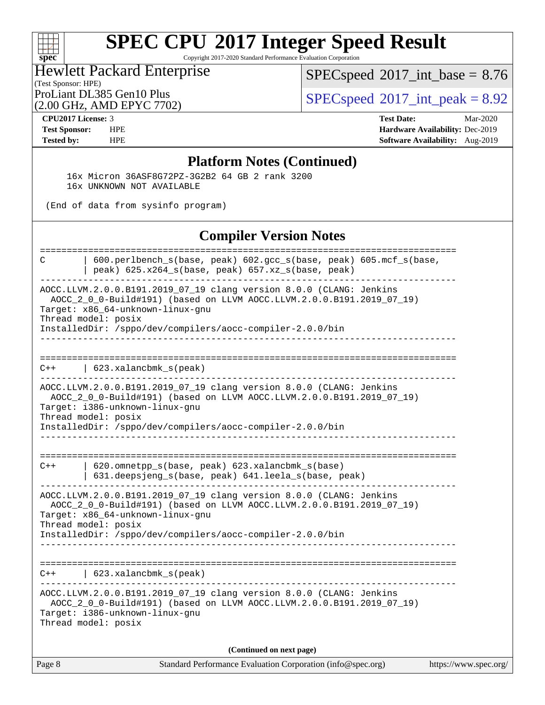## $+\ +$ **[spec](http://www.spec.org/)**

# **[SPEC CPU](http://www.spec.org/auto/cpu2017/Docs/result-fields.html#SPECCPU2017IntegerSpeedResult)[2017 Integer Speed Result](http://www.spec.org/auto/cpu2017/Docs/result-fields.html#SPECCPU2017IntegerSpeedResult)**

Copyright 2017-2020 Standard Performance Evaluation Corporation

## (Test Sponsor: HPE) Hewlett Packard Enterprise

(2.00 GHz, AMD EPYC 7702)

 $SPEC speed$ <sup>®</sup> $2017$ \_int\_base = 8.76

ProLiant DL385 Gen10 Plus  $\big|$  [SPECspeed](http://www.spec.org/auto/cpu2017/Docs/result-fields.html#SPECspeed2017intpeak)®[2017\\_int\\_peak = 8](http://www.spec.org/auto/cpu2017/Docs/result-fields.html#SPECspeed2017intpeak).92

**[CPU2017 License:](http://www.spec.org/auto/cpu2017/Docs/result-fields.html#CPU2017License)** 3 **[Test Date:](http://www.spec.org/auto/cpu2017/Docs/result-fields.html#TestDate)** Mar-2020 **[Test Sponsor:](http://www.spec.org/auto/cpu2017/Docs/result-fields.html#TestSponsor)** HPE **[Hardware Availability:](http://www.spec.org/auto/cpu2017/Docs/result-fields.html#HardwareAvailability)** Dec-2019 **[Tested by:](http://www.spec.org/auto/cpu2017/Docs/result-fields.html#Testedby)** HPE **[Software Availability:](http://www.spec.org/auto/cpu2017/Docs/result-fields.html#SoftwareAvailability)** Aug-2019

## **[Platform Notes \(Continued\)](http://www.spec.org/auto/cpu2017/Docs/result-fields.html#PlatformNotes)**

 16x Micron 36ASF8G72PZ-3G2B2 64 GB 2 rank 3200 16x UNKNOWN NOT AVAILABLE

(End of data from sysinfo program)

## **[Compiler Version Notes](http://www.spec.org/auto/cpu2017/Docs/result-fields.html#CompilerVersionNotes)**

| C      | 600.perlbench_s(base, peak) 602.gcc_s(base, peak) 605.mcf_s(base,<br>peak) 625.x264_s(base, peak) 657.xz_s(base, peak)                                                                                                                                               |                       |
|--------|----------------------------------------------------------------------------------------------------------------------------------------------------------------------------------------------------------------------------------------------------------------------|-----------------------|
|        | AOCC.LLVM.2.0.0.B191.2019_07_19 clang version 8.0.0 (CLANG: Jenkins<br>AOCC_2_0_0-Build#191) (based on LLVM AOCC.LLVM.2.0.0.B191.2019_07_19)<br>Target: x86_64-unknown-linux-gnu<br>Thread model: posix<br>InstalledDir: /sppo/dev/compilers/aocc-compiler-2.0.0/bin |                       |
| $C++$  | 623.xalancbmk_s(peak)                                                                                                                                                                                                                                                |                       |
|        | AOCC.LLVM.2.0.0.B191.2019_07_19 clang version 8.0.0 (CLANG: Jenkins<br>AOCC_2_0_0-Build#191) (based on LLVM AOCC.LLVM.2.0.0.B191.2019_07_19)<br>Target: i386-unknown-linux-gnu<br>Thread model: posix<br>InstalledDir: /sppo/dev/compilers/aocc-compiler-2.0.0/bin   |                       |
| $C++$  | 620.omnetpp_s(base, peak) 623.xalancbmk_s(base)<br>631.deepsjeng_s(base, peak) 641.leela_s(base, peak)                                                                                                                                                               |                       |
|        | AOCC.LLVM.2.0.0.B191.2019_07_19 clang version 8.0.0 (CLANG: Jenkins<br>AOCC_2_0_0-Build#191) (based on LLVM AOCC.LLVM.2.0.0.B191.2019_07_19)<br>Target: x86_64-unknown-linux-gnu<br>Thread model: posix<br>InstalledDir: /sppo/dev/compilers/aocc-compiler-2.0.0/bin |                       |
| $C++$  | 623.xalancbmk_s(peak)                                                                                                                                                                                                                                                |                       |
|        | AOCC.LLVM.2.0.0.B191.2019_07_19 clang version 8.0.0 (CLANG: Jenkins<br>AOCC_2_0_0-Build#191) (based on LLVM AOCC.LLVM.2.0.0.B191.2019_07_19)<br>Target: i386-unknown-linux-gnu<br>Thread model: posix                                                                |                       |
|        | (Continued on next page)                                                                                                                                                                                                                                             |                       |
| Page 8 | Standard Performance Evaluation Corporation (info@spec.org)                                                                                                                                                                                                          | https://www.spec.org/ |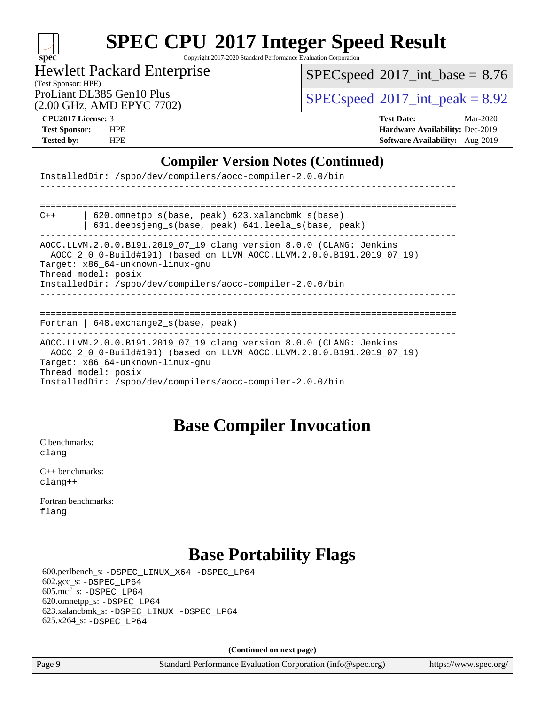

Copyright 2017-2020 Standard Performance Evaluation Corporation

## (Test Sponsor: HPE) Hewlett Packard Enterprise

 $SPECspeed*2017\_int\_base = 8.76$  $SPECspeed*2017\_int\_base = 8.76$ 

ProLiant DL385 Gen10 Plus  $\text{SPEC speed}^{\circ}2017\_int\_peak = 8.92$ 

(2.00 GHz, AMD EPYC 7702)

**[CPU2017 License:](http://www.spec.org/auto/cpu2017/Docs/result-fields.html#CPU2017License)** 3 **[Test Date:](http://www.spec.org/auto/cpu2017/Docs/result-fields.html#TestDate)** Mar-2020 **[Test Sponsor:](http://www.spec.org/auto/cpu2017/Docs/result-fields.html#TestSponsor)** HPE **[Hardware Availability:](http://www.spec.org/auto/cpu2017/Docs/result-fields.html#HardwareAvailability)** Dec-2019 **[Tested by:](http://www.spec.org/auto/cpu2017/Docs/result-fields.html#Testedby)** HPE **[Software Availability:](http://www.spec.org/auto/cpu2017/Docs/result-fields.html#SoftwareAvailability)** Aug-2019

## **[Compiler Version Notes \(Continued\)](http://www.spec.org/auto/cpu2017/Docs/result-fields.html#CompilerVersionNotes)**

| InstalledDir: /sppo/dev/compilers/aocc-compiler-2.0.0/bin                                                                                                                                                                                                            |  |  |  |  |  |  |  |
|----------------------------------------------------------------------------------------------------------------------------------------------------------------------------------------------------------------------------------------------------------------------|--|--|--|--|--|--|--|
|                                                                                                                                                                                                                                                                      |  |  |  |  |  |  |  |
| $620$ .omnetpp $s(base, peak)$ 623.xalancbmk $s(base)$<br>$C++$<br>631.deepsjeng_s(base, peak) 641.leela_s(base, peak)                                                                                                                                               |  |  |  |  |  |  |  |
| AOCC.LLVM.2.0.0.B191.2019_07_19 clang version 8.0.0 (CLANG: Jenkins<br>AOCC_2_0_0-Build#191) (based on LLVM AOCC.LLVM.2.0.0.B191.2019_07_19)<br>Target: x86_64-unknown-linux-gnu<br>Thread model: posix<br>InstalledDir: /sppo/dev/compilers/aocc-compiler-2.0.0/bin |  |  |  |  |  |  |  |
| Fortran   $648$ . exchange2 $s$ (base, peak)                                                                                                                                                                                                                         |  |  |  |  |  |  |  |
| AOCC.LLVM.2.0.0.B191.2019_07_19 clang version 8.0.0 (CLANG: Jenkins<br>AOCC 2 0 0-Build#191) (based on LLVM AOCC.LLVM.2.0.0.B191.2019 07 19)<br>Target: x86_64-unknown-linux-gnu<br>Thread model: posix<br>InstalledDir: /sppo/dev/compilers/aocc-compiler-2.0.0/bin |  |  |  |  |  |  |  |

## **[Base Compiler Invocation](http://www.spec.org/auto/cpu2017/Docs/result-fields.html#BaseCompilerInvocation)**

[C benchmarks](http://www.spec.org/auto/cpu2017/Docs/result-fields.html#Cbenchmarks): [clang](http://www.spec.org/cpu2017/results/res2020q2/cpu2017-20200413-21969.flags.html#user_CCbase_clang-c)

[C++ benchmarks:](http://www.spec.org/auto/cpu2017/Docs/result-fields.html#CXXbenchmarks) [clang++](http://www.spec.org/cpu2017/results/res2020q2/cpu2017-20200413-21969.flags.html#user_CXXbase_clang-cpp)

[Fortran benchmarks](http://www.spec.org/auto/cpu2017/Docs/result-fields.html#Fortranbenchmarks): [flang](http://www.spec.org/cpu2017/results/res2020q2/cpu2017-20200413-21969.flags.html#user_FCbase_flang)

## **[Base Portability Flags](http://www.spec.org/auto/cpu2017/Docs/result-fields.html#BasePortabilityFlags)**

 600.perlbench\_s: [-DSPEC\\_LINUX\\_X64](http://www.spec.org/cpu2017/results/res2020q2/cpu2017-20200413-21969.flags.html#b600.perlbench_s_basePORTABILITY_DSPEC_LINUX_X64) [-DSPEC\\_LP64](http://www.spec.org/cpu2017/results/res2020q2/cpu2017-20200413-21969.flags.html#b600.perlbench_s_baseEXTRA_PORTABILITY_DSPEC_LP64) 602.gcc\_s: [-DSPEC\\_LP64](http://www.spec.org/cpu2017/results/res2020q2/cpu2017-20200413-21969.flags.html#suite_baseEXTRA_PORTABILITY602_gcc_s_DSPEC_LP64) 605.mcf\_s: [-DSPEC\\_LP64](http://www.spec.org/cpu2017/results/res2020q2/cpu2017-20200413-21969.flags.html#suite_baseEXTRA_PORTABILITY605_mcf_s_DSPEC_LP64) 620.omnetpp\_s: [-DSPEC\\_LP64](http://www.spec.org/cpu2017/results/res2020q2/cpu2017-20200413-21969.flags.html#suite_baseEXTRA_PORTABILITY620_omnetpp_s_DSPEC_LP64) 623.xalancbmk\_s: [-DSPEC\\_LINUX](http://www.spec.org/cpu2017/results/res2020q2/cpu2017-20200413-21969.flags.html#b623.xalancbmk_s_basePORTABILITY_DSPEC_LINUX) [-DSPEC\\_LP64](http://www.spec.org/cpu2017/results/res2020q2/cpu2017-20200413-21969.flags.html#suite_baseEXTRA_PORTABILITY623_xalancbmk_s_DSPEC_LP64) 625.x264\_s: [-DSPEC\\_LP64](http://www.spec.org/cpu2017/results/res2020q2/cpu2017-20200413-21969.flags.html#suite_baseEXTRA_PORTABILITY625_x264_s_DSPEC_LP64)

**(Continued on next page)**

Page 9 Standard Performance Evaluation Corporation [\(info@spec.org\)](mailto:info@spec.org) <https://www.spec.org/>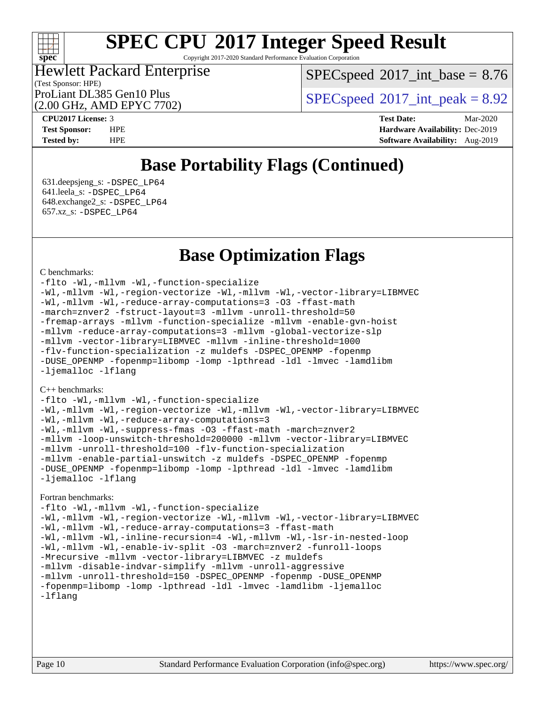## **[spec](http://www.spec.org/)**

# **[SPEC CPU](http://www.spec.org/auto/cpu2017/Docs/result-fields.html#SPECCPU2017IntegerSpeedResult)[2017 Integer Speed Result](http://www.spec.org/auto/cpu2017/Docs/result-fields.html#SPECCPU2017IntegerSpeedResult)**

Copyright 2017-2020 Standard Performance Evaluation Corporation

## (Test Sponsor: HPE) Hewlett Packard Enterprise (2.00 GHz, AMD EPYC 7702)

 $SPECspeed^{\circ}2017\_int\_base = 8.76$  $SPECspeed^{\circ}2017\_int\_base = 8.76$ 

ProLiant DL385 Gen10 Plus  $SPEC speed@2017$ \_int\_peak = 8.92

**[CPU2017 License:](http://www.spec.org/auto/cpu2017/Docs/result-fields.html#CPU2017License)** 3 **[Test Date:](http://www.spec.org/auto/cpu2017/Docs/result-fields.html#TestDate)** Mar-2020 **[Test Sponsor:](http://www.spec.org/auto/cpu2017/Docs/result-fields.html#TestSponsor)** HPE **[Hardware Availability:](http://www.spec.org/auto/cpu2017/Docs/result-fields.html#HardwareAvailability)** Dec-2019 **[Tested by:](http://www.spec.org/auto/cpu2017/Docs/result-fields.html#Testedby)** HPE **[Software Availability:](http://www.spec.org/auto/cpu2017/Docs/result-fields.html#SoftwareAvailability)** Aug-2019

## **[Base Portability Flags \(Continued\)](http://www.spec.org/auto/cpu2017/Docs/result-fields.html#BasePortabilityFlags)**

 631.deepsjeng\_s: [-DSPEC\\_LP64](http://www.spec.org/cpu2017/results/res2020q2/cpu2017-20200413-21969.flags.html#suite_baseEXTRA_PORTABILITY631_deepsjeng_s_DSPEC_LP64) 641.leela\_s: [-DSPEC\\_LP64](http://www.spec.org/cpu2017/results/res2020q2/cpu2017-20200413-21969.flags.html#suite_baseEXTRA_PORTABILITY641_leela_s_DSPEC_LP64) 648.exchange2\_s: [-DSPEC\\_LP64](http://www.spec.org/cpu2017/results/res2020q2/cpu2017-20200413-21969.flags.html#suite_baseEXTRA_PORTABILITY648_exchange2_s_DSPEC_LP64) 657.xz\_s: [-DSPEC\\_LP64](http://www.spec.org/cpu2017/results/res2020q2/cpu2017-20200413-21969.flags.html#suite_baseEXTRA_PORTABILITY657_xz_s_DSPEC_LP64)

## **[Base Optimization Flags](http://www.spec.org/auto/cpu2017/Docs/result-fields.html#BaseOptimizationFlags)**

#### [C benchmarks](http://www.spec.org/auto/cpu2017/Docs/result-fields.html#Cbenchmarks):

[-flto](http://www.spec.org/cpu2017/results/res2020q2/cpu2017-20200413-21969.flags.html#user_CCbase_aocc-flto) [-Wl,-mllvm -Wl,-function-specialize](http://www.spec.org/cpu2017/results/res2020q2/cpu2017-20200413-21969.flags.html#user_CCbase_F-function-specialize_7e7e661e57922243ee67c9a1251cb8910e607325179a0ce7f2884e09a6f5d4a5ef0ae4f37e8a2a11c95fc48e931f06dc2b6016f14b511fcb441e048bef1b065a) [-Wl,-mllvm -Wl,-region-vectorize](http://www.spec.org/cpu2017/results/res2020q2/cpu2017-20200413-21969.flags.html#user_CCbase_F-region-vectorize_fb6c6b5aa293c88efc6c7c2b52b20755e943585b1fe8658c35afef78727fff56e1a56891413c30e36b8e2a6f9a71126986319243e80eb6110b78b288f533c52b) [-Wl,-mllvm -Wl,-vector-library=LIBMVEC](http://www.spec.org/cpu2017/results/res2020q2/cpu2017-20200413-21969.flags.html#user_CCbase_F-use-vector-library_0a14b27fae317f283640384a31f7bfcc2bd4c1d0b5cfc618a3a430800c9b20217b00f61303eff223a3251b4f06ffbc9739dc5296db9d1fbb9ad24a3939d86d66) [-Wl,-mllvm -Wl,-reduce-array-computations=3](http://www.spec.org/cpu2017/results/res2020q2/cpu2017-20200413-21969.flags.html#user_CCbase_F-reduce-array-computations_b882aefe7a5dda4e33149f6299762b9a720dace3e498e13756f4c04e5a19edf5315c1f3993de2e61ec41e8c206231f84e05da7040e1bb5d69ba27d10a12507e4) [-O3](http://www.spec.org/cpu2017/results/res2020q2/cpu2017-20200413-21969.flags.html#user_CCbase_F-O3) [-ffast-math](http://www.spec.org/cpu2017/results/res2020q2/cpu2017-20200413-21969.flags.html#user_CCbase_aocc-ffast-math) [-march=znver2](http://www.spec.org/cpu2017/results/res2020q2/cpu2017-20200413-21969.flags.html#user_CCbase_aocc-march_3e2e19cff2eeef60c5d90b059483627c9ea47eca6d66670dbd53f9185f6439e27eb5e104cf773e9e8ab18c8842ce63e461a3e948d0214bd567ef3ade411bf467) [-fstruct-layout=3](http://www.spec.org/cpu2017/results/res2020q2/cpu2017-20200413-21969.flags.html#user_CCbase_F-struct-layout) [-mllvm -unroll-threshold=50](http://www.spec.org/cpu2017/results/res2020q2/cpu2017-20200413-21969.flags.html#user_CCbase_F-unroll-threshold_458874500b2c105d6d5cb4d7a611c40e2b16e9e3d26b355fea72d644c3673b4de4b3932662f0ed3dbec75c491a13da2d2ca81180bd779dc531083ef1e1e549dc) [-fremap-arrays](http://www.spec.org/cpu2017/results/res2020q2/cpu2017-20200413-21969.flags.html#user_CCbase_F-fremap-arrays) [-mllvm -function-specialize](http://www.spec.org/cpu2017/results/res2020q2/cpu2017-20200413-21969.flags.html#user_CCbase_F-function-specialize_233b3bdba86027f1b094368157e481c5bc59f40286dc25bfadc1858dcd5745c24fd30d5f188710db7fea399bcc9f44a80b3ce3aacc70a8870250c3ae5e1f35b8) [-mllvm -enable-gvn-hoist](http://www.spec.org/cpu2017/results/res2020q2/cpu2017-20200413-21969.flags.html#user_CCbase_F-enable-gvn-hoist_e5856354646dd6ca1333a0ad99b817e4cf8932b91b82809fd8fd47ceff7b22a89eba5c98fd3e3fa5200368fd772cec3dd56abc3c8f7b655a71b9f9848dddedd5) [-mllvm -reduce-array-computations=3](http://www.spec.org/cpu2017/results/res2020q2/cpu2017-20200413-21969.flags.html#user_CCbase_F-reduce-array-computations_aceadb8604558b566e0e3a0d7a3c1533923dd1fa0889614e16288028922629a28d5695c24d3b3be4306b1e311c54317dfffe3a2e57fbcaabc737a1798de39145) [-mllvm -global-vectorize-slp](http://www.spec.org/cpu2017/results/res2020q2/cpu2017-20200413-21969.flags.html#user_CCbase_F-global-vectorize-slp_a3935e8627af4ced727033b1ffd4db27f4d541a363d28d82bf4c2925fb3a0fd4115d6e42d13a2829f9e024d6608eb67a85cb49770f2da5c5ac8dbc737afad603) [-mllvm -vector-library=LIBMVEC](http://www.spec.org/cpu2017/results/res2020q2/cpu2017-20200413-21969.flags.html#user_CCbase_F-use-vector-library_e584e20b4f7ec96aa109254b65d8e01d864f3d68580371b9d93ed7c338191d4cfce20c3c864632264effc6bbe4c7c38153d02096a342ee92501c4a53204a7871) [-mllvm -inline-threshold=1000](http://www.spec.org/cpu2017/results/res2020q2/cpu2017-20200413-21969.flags.html#user_CCbase_dragonegg-llvm-inline-threshold_b7832241b0a6397e4ecdbaf0eb7defdc10f885c2a282fa3240fdc99844d543fda39cf8a4a9dccf68cf19b5438ac3b455264f478df15da0f4988afa40d8243bab) [-flv-function-specialization](http://www.spec.org/cpu2017/results/res2020q2/cpu2017-20200413-21969.flags.html#user_CCbase_F-flv-function-specialization) [-z muldefs](http://www.spec.org/cpu2017/results/res2020q2/cpu2017-20200413-21969.flags.html#user_CCbase_aocc-muldefs) [-DSPEC\\_OPENMP](http://www.spec.org/cpu2017/results/res2020q2/cpu2017-20200413-21969.flags.html#suite_CCbase_DSPEC_OPENMP) [-fopenmp](http://www.spec.org/cpu2017/results/res2020q2/cpu2017-20200413-21969.flags.html#user_CCbase_aocc-fopenmp) [-DUSE\\_OPENMP](http://www.spec.org/cpu2017/results/res2020q2/cpu2017-20200413-21969.flags.html#user_CCbase_F-DUSE_OPENMP) [-fopenmp=libomp](http://www.spec.org/cpu2017/results/res2020q2/cpu2017-20200413-21969.flags.html#user_CCbase_aocc-fopenmp_3eb6ab80166bcc84161ff8c20c8d5bc344f88119f45620444596454f7d72e99b7a0ceefc2d1b4d190bd07306bbfdfc20f11f5a2dc69c9b03c72239f8406741c3) [-lomp](http://www.spec.org/cpu2017/results/res2020q2/cpu2017-20200413-21969.flags.html#user_CCbase_F-lomp) [-lpthread](http://www.spec.org/cpu2017/results/res2020q2/cpu2017-20200413-21969.flags.html#user_CCbase_F-lpthread) [-ldl](http://www.spec.org/cpu2017/results/res2020q2/cpu2017-20200413-21969.flags.html#user_CCbase_F-ldl) [-lmvec](http://www.spec.org/cpu2017/results/res2020q2/cpu2017-20200413-21969.flags.html#user_CCbase_F-lmvec) [-lamdlibm](http://www.spec.org/cpu2017/results/res2020q2/cpu2017-20200413-21969.flags.html#user_CCbase_F-lamdlibm) [-ljemalloc](http://www.spec.org/cpu2017/results/res2020q2/cpu2017-20200413-21969.flags.html#user_CCbase_jemalloc-lib) [-lflang](http://www.spec.org/cpu2017/results/res2020q2/cpu2017-20200413-21969.flags.html#user_CCbase_F-lflang)

#### [C++ benchmarks:](http://www.spec.org/auto/cpu2017/Docs/result-fields.html#CXXbenchmarks)

[-flto](http://www.spec.org/cpu2017/results/res2020q2/cpu2017-20200413-21969.flags.html#user_CXXbase_aocc-flto) [-Wl,-mllvm -Wl,-function-specialize](http://www.spec.org/cpu2017/results/res2020q2/cpu2017-20200413-21969.flags.html#user_CXXbase_F-function-specialize_7e7e661e57922243ee67c9a1251cb8910e607325179a0ce7f2884e09a6f5d4a5ef0ae4f37e8a2a11c95fc48e931f06dc2b6016f14b511fcb441e048bef1b065a) [-Wl,-mllvm -Wl,-region-vectorize](http://www.spec.org/cpu2017/results/res2020q2/cpu2017-20200413-21969.flags.html#user_CXXbase_F-region-vectorize_fb6c6b5aa293c88efc6c7c2b52b20755e943585b1fe8658c35afef78727fff56e1a56891413c30e36b8e2a6f9a71126986319243e80eb6110b78b288f533c52b) [-Wl,-mllvm -Wl,-vector-library=LIBMVEC](http://www.spec.org/cpu2017/results/res2020q2/cpu2017-20200413-21969.flags.html#user_CXXbase_F-use-vector-library_0a14b27fae317f283640384a31f7bfcc2bd4c1d0b5cfc618a3a430800c9b20217b00f61303eff223a3251b4f06ffbc9739dc5296db9d1fbb9ad24a3939d86d66) [-Wl,-mllvm -Wl,-reduce-array-computations=3](http://www.spec.org/cpu2017/results/res2020q2/cpu2017-20200413-21969.flags.html#user_CXXbase_F-reduce-array-computations_b882aefe7a5dda4e33149f6299762b9a720dace3e498e13756f4c04e5a19edf5315c1f3993de2e61ec41e8c206231f84e05da7040e1bb5d69ba27d10a12507e4) [-Wl,-mllvm -Wl,-suppress-fmas](http://www.spec.org/cpu2017/results/res2020q2/cpu2017-20200413-21969.flags.html#user_CXXbase_F-suppress-fmas_f00f00630e4a059e8af9c161e9bbf420bcf19890a7f99d5933525e66aa4b0bb3ab2339d2b12d97d3a5f5d271e839fe9c109938e91fe06230fb53651590cfa1e8) [-O3](http://www.spec.org/cpu2017/results/res2020q2/cpu2017-20200413-21969.flags.html#user_CXXbase_F-O3) [-ffast-math](http://www.spec.org/cpu2017/results/res2020q2/cpu2017-20200413-21969.flags.html#user_CXXbase_aocc-ffast-math) [-march=znver2](http://www.spec.org/cpu2017/results/res2020q2/cpu2017-20200413-21969.flags.html#user_CXXbase_aocc-march_3e2e19cff2eeef60c5d90b059483627c9ea47eca6d66670dbd53f9185f6439e27eb5e104cf773e9e8ab18c8842ce63e461a3e948d0214bd567ef3ade411bf467) [-mllvm -loop-unswitch-threshold=200000](http://www.spec.org/cpu2017/results/res2020q2/cpu2017-20200413-21969.flags.html#user_CXXbase_F-loop-unswitch-threshold_f9a82ae3270e55b5fbf79d0d96ee93606b73edbbe527d20b18b7bff1a3a146ad50cfc7454c5297978340ae9213029016a7d16221274d672d3f7f42ed25274e1d) [-mllvm -vector-library=LIBMVEC](http://www.spec.org/cpu2017/results/res2020q2/cpu2017-20200413-21969.flags.html#user_CXXbase_F-use-vector-library_e584e20b4f7ec96aa109254b65d8e01d864f3d68580371b9d93ed7c338191d4cfce20c3c864632264effc6bbe4c7c38153d02096a342ee92501c4a53204a7871) [-mllvm -unroll-threshold=100](http://www.spec.org/cpu2017/results/res2020q2/cpu2017-20200413-21969.flags.html#user_CXXbase_F-unroll-threshold_2755d0c78138845d361fa1543e3a063fffa198df9b3edf0cfb856bbc88a81e1769b12ac7a550c5d35197be55360db1a3f95a8d1304df999456cabf5120c45168) [-flv-function-specialization](http://www.spec.org/cpu2017/results/res2020q2/cpu2017-20200413-21969.flags.html#user_CXXbase_F-flv-function-specialization) [-mllvm -enable-partial-unswitch](http://www.spec.org/cpu2017/results/res2020q2/cpu2017-20200413-21969.flags.html#user_CXXbase_F-enable-partial-unswitch_6e1c33f981d77963b1eaf834973128a7f33ce3f8e27f54689656697a35e89dcc875281e0e6283d043e32f367dcb605ba0e307a92e830f7e326789fa6c61b35d3) [-z muldefs](http://www.spec.org/cpu2017/results/res2020q2/cpu2017-20200413-21969.flags.html#user_CXXbase_aocc-muldefs) [-DSPEC\\_OPENMP](http://www.spec.org/cpu2017/results/res2020q2/cpu2017-20200413-21969.flags.html#suite_CXXbase_DSPEC_OPENMP) [-fopenmp](http://www.spec.org/cpu2017/results/res2020q2/cpu2017-20200413-21969.flags.html#user_CXXbase_aocc-fopenmp) [-DUSE\\_OPENMP](http://www.spec.org/cpu2017/results/res2020q2/cpu2017-20200413-21969.flags.html#user_CXXbase_F-DUSE_OPENMP) [-fopenmp=libomp](http://www.spec.org/cpu2017/results/res2020q2/cpu2017-20200413-21969.flags.html#user_CXXbase_aocc-fopenmp_3eb6ab80166bcc84161ff8c20c8d5bc344f88119f45620444596454f7d72e99b7a0ceefc2d1b4d190bd07306bbfdfc20f11f5a2dc69c9b03c72239f8406741c3) [-lomp](http://www.spec.org/cpu2017/results/res2020q2/cpu2017-20200413-21969.flags.html#user_CXXbase_F-lomp) [-lpthread](http://www.spec.org/cpu2017/results/res2020q2/cpu2017-20200413-21969.flags.html#user_CXXbase_F-lpthread) [-ldl](http://www.spec.org/cpu2017/results/res2020q2/cpu2017-20200413-21969.flags.html#user_CXXbase_F-ldl) [-lmvec](http://www.spec.org/cpu2017/results/res2020q2/cpu2017-20200413-21969.flags.html#user_CXXbase_F-lmvec) [-lamdlibm](http://www.spec.org/cpu2017/results/res2020q2/cpu2017-20200413-21969.flags.html#user_CXXbase_F-lamdlibm) [-ljemalloc](http://www.spec.org/cpu2017/results/res2020q2/cpu2017-20200413-21969.flags.html#user_CXXbase_jemalloc-lib) [-lflang](http://www.spec.org/cpu2017/results/res2020q2/cpu2017-20200413-21969.flags.html#user_CXXbase_F-lflang)

#### [Fortran benchmarks](http://www.spec.org/auto/cpu2017/Docs/result-fields.html#Fortranbenchmarks):

[-flto](http://www.spec.org/cpu2017/results/res2020q2/cpu2017-20200413-21969.flags.html#user_FCbase_aocc-flto) [-Wl,-mllvm -Wl,-function-specialize](http://www.spec.org/cpu2017/results/res2020q2/cpu2017-20200413-21969.flags.html#user_FCbase_F-function-specialize_7e7e661e57922243ee67c9a1251cb8910e607325179a0ce7f2884e09a6f5d4a5ef0ae4f37e8a2a11c95fc48e931f06dc2b6016f14b511fcb441e048bef1b065a) [-Wl,-mllvm -Wl,-region-vectorize](http://www.spec.org/cpu2017/results/res2020q2/cpu2017-20200413-21969.flags.html#user_FCbase_F-region-vectorize_fb6c6b5aa293c88efc6c7c2b52b20755e943585b1fe8658c35afef78727fff56e1a56891413c30e36b8e2a6f9a71126986319243e80eb6110b78b288f533c52b) [-Wl,-mllvm -Wl,-vector-library=LIBMVEC](http://www.spec.org/cpu2017/results/res2020q2/cpu2017-20200413-21969.flags.html#user_FCbase_F-use-vector-library_0a14b27fae317f283640384a31f7bfcc2bd4c1d0b5cfc618a3a430800c9b20217b00f61303eff223a3251b4f06ffbc9739dc5296db9d1fbb9ad24a3939d86d66) [-Wl,-mllvm -Wl,-reduce-array-computations=3](http://www.spec.org/cpu2017/results/res2020q2/cpu2017-20200413-21969.flags.html#user_FCbase_F-reduce-array-computations_b882aefe7a5dda4e33149f6299762b9a720dace3e498e13756f4c04e5a19edf5315c1f3993de2e61ec41e8c206231f84e05da7040e1bb5d69ba27d10a12507e4) [-ffast-math](http://www.spec.org/cpu2017/results/res2020q2/cpu2017-20200413-21969.flags.html#user_FCbase_aocc-ffast-math) [-Wl,-mllvm -Wl,-inline-recursion=4](http://www.spec.org/cpu2017/results/res2020q2/cpu2017-20200413-21969.flags.html#user_FCbase_F-inline-recursion) [-Wl,-mllvm -Wl,-lsr-in-nested-loop](http://www.spec.org/cpu2017/results/res2020q2/cpu2017-20200413-21969.flags.html#user_FCbase_F-lsr-in-nested-loop_de4bc7331d07d857538198a5cc9592bc905d78a18065d49b9acfd1f777ae9eca5716aaa3e0e674a48e2e5ec9dad184ee0c682635ad7eff4181b32ab748bf2f49) [-Wl,-mllvm -Wl,-enable-iv-split](http://www.spec.org/cpu2017/results/res2020q2/cpu2017-20200413-21969.flags.html#user_FCbase_F-enable-iv-split_efc18925ba63acc4bb74cb6e43d0987b7b3cf01924ad910e2a6edbbbd0f8b582e31f1ee7ccede3f08176ef2ad41c69507170fb32301bf478d45ceb38dfb89c5e) [-O3](http://www.spec.org/cpu2017/results/res2020q2/cpu2017-20200413-21969.flags.html#user_FCbase_F-O3) [-march=znver2](http://www.spec.org/cpu2017/results/res2020q2/cpu2017-20200413-21969.flags.html#user_FCbase_aocc-march_3e2e19cff2eeef60c5d90b059483627c9ea47eca6d66670dbd53f9185f6439e27eb5e104cf773e9e8ab18c8842ce63e461a3e948d0214bd567ef3ade411bf467) [-funroll-loops](http://www.spec.org/cpu2017/results/res2020q2/cpu2017-20200413-21969.flags.html#user_FCbase_aocc-unroll-loops) [-Mrecursive](http://www.spec.org/cpu2017/results/res2020q2/cpu2017-20200413-21969.flags.html#user_FCbase_F-mrecursive_20a145d63f12d5750a899e17d4450b5b8b40330a9bb4af13688ca650e6fb30857bbbe44fb35cdbb895df6e5b2769de0a0d7659f51ff17acfbef6febafec4023f) [-mllvm -vector-library=LIBMVEC](http://www.spec.org/cpu2017/results/res2020q2/cpu2017-20200413-21969.flags.html#user_FCbase_F-use-vector-library_e584e20b4f7ec96aa109254b65d8e01d864f3d68580371b9d93ed7c338191d4cfce20c3c864632264effc6bbe4c7c38153d02096a342ee92501c4a53204a7871) [-z muldefs](http://www.spec.org/cpu2017/results/res2020q2/cpu2017-20200413-21969.flags.html#user_FCbase_aocc-muldefs) [-mllvm -disable-indvar-simplify](http://www.spec.org/cpu2017/results/res2020q2/cpu2017-20200413-21969.flags.html#user_FCbase_F-disable-indvar-simplify_c8d861bf19eba5001219ab52ef051176e06bf3166017d5c1ce87aec66e795c6723d10bf23d5a91730d61ad4b3f566b39dd0a4d6e5b2af269ebae30428a1f3630) [-mllvm -unroll-aggressive](http://www.spec.org/cpu2017/results/res2020q2/cpu2017-20200413-21969.flags.html#user_FCbase_F-unroll-aggressive_a366db20af3fd871754361e6b05945ac700b8c3fc538cc6688c755ae5874c6da3d6f3bb6e8d93320d5094064830fdb2c06064831f0f08d916cd8f333e5dba6d9) [-mllvm -unroll-threshold=150](http://www.spec.org/cpu2017/results/res2020q2/cpu2017-20200413-21969.flags.html#user_FCbase_F-unroll-threshold_3352736ce55666ed13437f5f5fd6693920e68d4dfd26bba42492bb1c46b6d7692ff5ba7bd4d2ebdab48d140ca981a39154ff0664b4d322a66fc3d1aafa4d7ffe) [-DSPEC\\_OPENMP](http://www.spec.org/cpu2017/results/res2020q2/cpu2017-20200413-21969.flags.html#suite_FCbase_DSPEC_OPENMP) [-fopenmp](http://www.spec.org/cpu2017/results/res2020q2/cpu2017-20200413-21969.flags.html#user_FCbase_aocc-fopenmp) [-DUSE\\_OPENMP](http://www.spec.org/cpu2017/results/res2020q2/cpu2017-20200413-21969.flags.html#user_FCbase_F-DUSE_OPENMP) [-fopenmp=libomp](http://www.spec.org/cpu2017/results/res2020q2/cpu2017-20200413-21969.flags.html#user_FCbase_aocc-fopenmp_3eb6ab80166bcc84161ff8c20c8d5bc344f88119f45620444596454f7d72e99b7a0ceefc2d1b4d190bd07306bbfdfc20f11f5a2dc69c9b03c72239f8406741c3) [-lomp](http://www.spec.org/cpu2017/results/res2020q2/cpu2017-20200413-21969.flags.html#user_FCbase_F-lomp) [-lpthread](http://www.spec.org/cpu2017/results/res2020q2/cpu2017-20200413-21969.flags.html#user_FCbase_F-lpthread) [-ldl](http://www.spec.org/cpu2017/results/res2020q2/cpu2017-20200413-21969.flags.html#user_FCbase_F-ldl) [-lmvec](http://www.spec.org/cpu2017/results/res2020q2/cpu2017-20200413-21969.flags.html#user_FCbase_F-lmvec) [-lamdlibm](http://www.spec.org/cpu2017/results/res2020q2/cpu2017-20200413-21969.flags.html#user_FCbase_F-lamdlibm) [-ljemalloc](http://www.spec.org/cpu2017/results/res2020q2/cpu2017-20200413-21969.flags.html#user_FCbase_jemalloc-lib) [-lflang](http://www.spec.org/cpu2017/results/res2020q2/cpu2017-20200413-21969.flags.html#user_FCbase_F-lflang)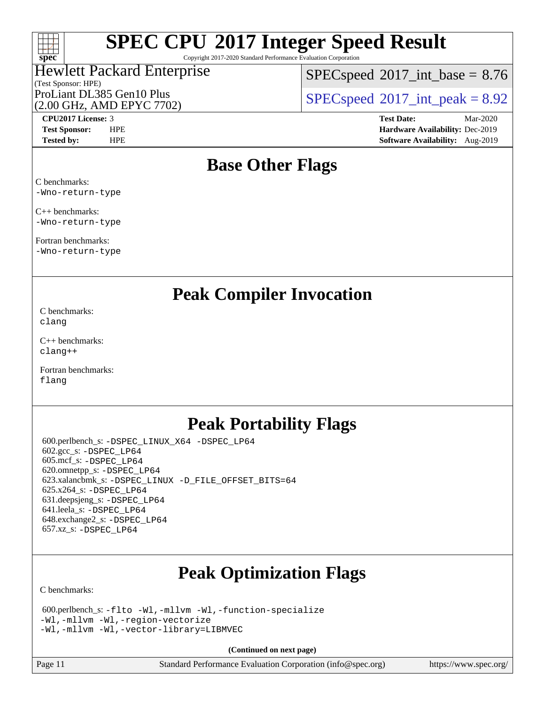

Copyright 2017-2020 Standard Performance Evaluation Corporation

### (Test Sponsor: HPE) Hewlett Packard Enterprise

 $SPECspeed^{\circ}2017\_int\_base = 8.76$  $SPECspeed^{\circ}2017\_int\_base = 8.76$ 

(2.00 GHz, AMD EPYC 7702)

ProLiant DL385 Gen10 Plus  $SPEC speed@2017$ \_int\_peak = 8.92

**[CPU2017 License:](http://www.spec.org/auto/cpu2017/Docs/result-fields.html#CPU2017License)** 3 **[Test Date:](http://www.spec.org/auto/cpu2017/Docs/result-fields.html#TestDate)** Mar-2020 **[Test Sponsor:](http://www.spec.org/auto/cpu2017/Docs/result-fields.html#TestSponsor)** HPE **[Hardware Availability:](http://www.spec.org/auto/cpu2017/Docs/result-fields.html#HardwareAvailability)** Dec-2019 **[Tested by:](http://www.spec.org/auto/cpu2017/Docs/result-fields.html#Testedby)** HPE **[Software Availability:](http://www.spec.org/auto/cpu2017/Docs/result-fields.html#SoftwareAvailability)** Aug-2019

## **[Base Other Flags](http://www.spec.org/auto/cpu2017/Docs/result-fields.html#BaseOtherFlags)**

[C benchmarks](http://www.spec.org/auto/cpu2017/Docs/result-fields.html#Cbenchmarks): [-Wno-return-type](http://www.spec.org/cpu2017/results/res2020q2/cpu2017-20200413-21969.flags.html#user_CCbase_F-Waocc-no-return-type)

[C++ benchmarks:](http://www.spec.org/auto/cpu2017/Docs/result-fields.html#CXXbenchmarks) [-Wno-return-type](http://www.spec.org/cpu2017/results/res2020q2/cpu2017-20200413-21969.flags.html#user_CXXbase_F-Waocc-no-return-type)

[Fortran benchmarks](http://www.spec.org/auto/cpu2017/Docs/result-fields.html#Fortranbenchmarks): [-Wno-return-type](http://www.spec.org/cpu2017/results/res2020q2/cpu2017-20200413-21969.flags.html#user_FCbase_F-Waocc-no-return-type)

**[Peak Compiler Invocation](http://www.spec.org/auto/cpu2017/Docs/result-fields.html#PeakCompilerInvocation)**

[C benchmarks](http://www.spec.org/auto/cpu2017/Docs/result-fields.html#Cbenchmarks): [clang](http://www.spec.org/cpu2017/results/res2020q2/cpu2017-20200413-21969.flags.html#user_CCpeak_clang-c)

[C++ benchmarks:](http://www.spec.org/auto/cpu2017/Docs/result-fields.html#CXXbenchmarks) [clang++](http://www.spec.org/cpu2017/results/res2020q2/cpu2017-20200413-21969.flags.html#user_CXXpeak_clang-cpp)

[Fortran benchmarks](http://www.spec.org/auto/cpu2017/Docs/result-fields.html#Fortranbenchmarks): [flang](http://www.spec.org/cpu2017/results/res2020q2/cpu2017-20200413-21969.flags.html#user_FCpeak_flang)

## **[Peak Portability Flags](http://www.spec.org/auto/cpu2017/Docs/result-fields.html#PeakPortabilityFlags)**

 600.perlbench\_s: [-DSPEC\\_LINUX\\_X64](http://www.spec.org/cpu2017/results/res2020q2/cpu2017-20200413-21969.flags.html#b600.perlbench_s_peakPORTABILITY_DSPEC_LINUX_X64) [-DSPEC\\_LP64](http://www.spec.org/cpu2017/results/res2020q2/cpu2017-20200413-21969.flags.html#b600.perlbench_s_peakEXTRA_PORTABILITY_DSPEC_LP64) 602.gcc\_s: [-DSPEC\\_LP64](http://www.spec.org/cpu2017/results/res2020q2/cpu2017-20200413-21969.flags.html#suite_peakEXTRA_PORTABILITY602_gcc_s_DSPEC_LP64) 605.mcf\_s: [-DSPEC\\_LP64](http://www.spec.org/cpu2017/results/res2020q2/cpu2017-20200413-21969.flags.html#suite_peakEXTRA_PORTABILITY605_mcf_s_DSPEC_LP64) 620.omnetpp\_s: [-DSPEC\\_LP64](http://www.spec.org/cpu2017/results/res2020q2/cpu2017-20200413-21969.flags.html#suite_peakEXTRA_PORTABILITY620_omnetpp_s_DSPEC_LP64) 623.xalancbmk\_s: [-DSPEC\\_LINUX](http://www.spec.org/cpu2017/results/res2020q2/cpu2017-20200413-21969.flags.html#b623.xalancbmk_s_peakPORTABILITY_DSPEC_LINUX) [-D\\_FILE\\_OFFSET\\_BITS=64](http://www.spec.org/cpu2017/results/res2020q2/cpu2017-20200413-21969.flags.html#user_peakEXTRA_PORTABILITY623_xalancbmk_s_F-D_FILE_OFFSET_BITS_5ae949a99b284ddf4e95728d47cb0843d81b2eb0e18bdfe74bbf0f61d0b064f4bda2f10ea5eb90e1dcab0e84dbc592acfc5018bc955c18609f94ddb8d550002c) 625.x264\_s: [-DSPEC\\_LP64](http://www.spec.org/cpu2017/results/res2020q2/cpu2017-20200413-21969.flags.html#suite_peakEXTRA_PORTABILITY625_x264_s_DSPEC_LP64) 631.deepsjeng\_s: [-DSPEC\\_LP64](http://www.spec.org/cpu2017/results/res2020q2/cpu2017-20200413-21969.flags.html#suite_peakEXTRA_PORTABILITY631_deepsjeng_s_DSPEC_LP64) 641.leela\_s: [-DSPEC\\_LP64](http://www.spec.org/cpu2017/results/res2020q2/cpu2017-20200413-21969.flags.html#suite_peakEXTRA_PORTABILITY641_leela_s_DSPEC_LP64) 648.exchange2\_s: [-DSPEC\\_LP64](http://www.spec.org/cpu2017/results/res2020q2/cpu2017-20200413-21969.flags.html#suite_peakEXTRA_PORTABILITY648_exchange2_s_DSPEC_LP64) 657.xz\_s: [-DSPEC\\_LP64](http://www.spec.org/cpu2017/results/res2020q2/cpu2017-20200413-21969.flags.html#suite_peakEXTRA_PORTABILITY657_xz_s_DSPEC_LP64)

## **[Peak Optimization Flags](http://www.spec.org/auto/cpu2017/Docs/result-fields.html#PeakOptimizationFlags)**

[C benchmarks](http://www.spec.org/auto/cpu2017/Docs/result-fields.html#Cbenchmarks):

```
 600.perlbench_s: -flto -Wl,-mllvm -Wl,-function-specialize
-Wl,-mllvm -Wl,-region-vectorize
-Wl,-mllvm -Wl,-vector-library=LIBMVEC
```
**(Continued on next page)**

Page 11 Standard Performance Evaluation Corporation [\(info@spec.org\)](mailto:info@spec.org) <https://www.spec.org/>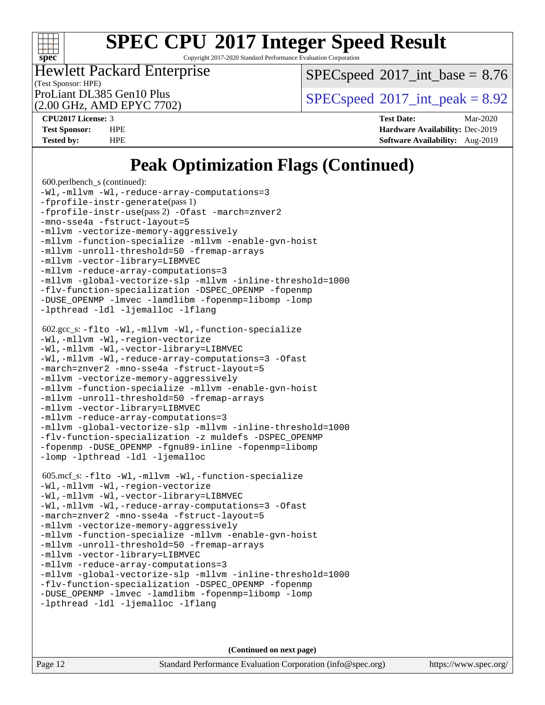

Copyright 2017-2020 Standard Performance Evaluation Corporation

#### (Test Sponsor: HPE) Hewlett Packard Enterprise

 $SPECspeed^{\circ}2017\_int\_base = 8.76$  $SPECspeed^{\circ}2017\_int\_base = 8.76$ 

(2.00 GHz, AMD EPYC 7702)

ProLiant DL385 Gen10 Plus  $SPEC speed@2017$ \_int\_peak = 8.92

**[CPU2017 License:](http://www.spec.org/auto/cpu2017/Docs/result-fields.html#CPU2017License)** 3 **[Test Date:](http://www.spec.org/auto/cpu2017/Docs/result-fields.html#TestDate)** Mar-2020 **[Test Sponsor:](http://www.spec.org/auto/cpu2017/Docs/result-fields.html#TestSponsor)** HPE **[Hardware Availability:](http://www.spec.org/auto/cpu2017/Docs/result-fields.html#HardwareAvailability)** Dec-2019 **[Tested by:](http://www.spec.org/auto/cpu2017/Docs/result-fields.html#Testedby)** HPE **[Software Availability:](http://www.spec.org/auto/cpu2017/Docs/result-fields.html#SoftwareAvailability)** Aug-2019

## **[Peak Optimization Flags \(Continued\)](http://www.spec.org/auto/cpu2017/Docs/result-fields.html#PeakOptimizationFlags)**

```
 600.perlbench_s (continued):
-Wl,-mllvm -Wl,-reduce-array-computations=3
-fprofile-instr-generate(pass 1)
-fprofile-instr-use(pass 2) -Ofast -march=znver2
-mno-sse4a -fstruct-layout=5
-mllvm -vectorize-memory-aggressively
-mllvm -function-specialize -mllvm -enable-gvn-hoist
-mllvm -unroll-threshold=50 -fremap-arrays
-mllvm -vector-library=LIBMVEC
-mllvm -reduce-array-computations=3
-mllvm -global-vectorize-slp -mllvm -inline-threshold=1000
-flv-function-specialization -DSPEC_OPENMP -fopenmp
-DUSE_OPENMP -lmvec -lamdlibm -fopenmp=libomp -lomp
-lpthread -ldl -ljemalloc -lflang
 602.gcc_s: -flto -Wl,-mllvm -Wl,-function-specialize
-Wl,-mllvm -Wl,-region-vectorize
-Wl,-mllvm -Wl,-vector-library=LIBMVEC
-Wl,-mllvm -Wl,-reduce-array-computations=3 -Ofast
-march=znver2 -mno-sse4a -fstruct-layout=5
-mllvm -vectorize-memory-aggressively
-mllvm -function-specialize -mllvm -enable-gvn-hoist
-mllvm -unroll-threshold=50 -fremap-arrays
-mllvm -vector-library=LIBMVEC
-mllvm -reduce-array-computations=3
-mllvm -global-vectorize-slp -mllvm -inline-threshold=1000
-flv-function-specialization -z muldefs -DSPEC_OPENMP
-fopenmp -DUSE_OPENMP -fgnu89-inline -fopenmp=libomp
-lomp -lpthread -ldl -ljemalloc
 605.mcf_s: -flto -Wl,-mllvm -Wl,-function-specialize
-Wl,-mllvm -Wl,-region-vectorize
-Wl,-mllvm -Wl,-vector-library=LIBMVEC
-Wl,-mllvm -Wl,-reduce-array-computations=3 -Ofast
-march=znver2 -mno-sse4a -fstruct-layout=5
-mllvm -vectorize-memory-aggressively
-mllvm -function-specialize -mllvm -enable-gvn-hoist
-mllvm -unroll-threshold=50 -fremap-arrays
-mllvm -vector-library=LIBMVEC
-mllvm -reduce-array-computations=3
-mllvm -global-vectorize-slp -mllvm -inline-threshold=1000
-flv-function-specialization -DSPEC_OPENMP -fopenmp
-DUSE_OPENMP -lmvec -lamdlibm -fopenmp=libomp -lomp
-lpthread -ldl -ljemalloc -lflang
```
**(Continued on next page)**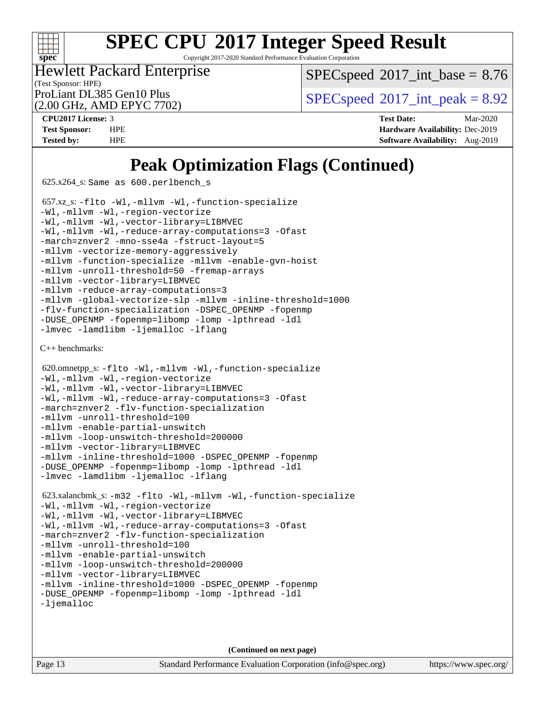

Copyright 2017-2020 Standard Performance Evaluation Corporation

(Test Sponsor: HPE) Hewlett Packard Enterprise

(2.00 GHz, AMD EPYC 7702)

 $SPECspeed^{\circ}2017\_int\_base = 8.76$  $SPECspeed^{\circ}2017\_int\_base = 8.76$ 

ProLiant DL385 Gen10 Plus  $SPEC speed@2017$ \_int\_peak = 8.92

**[CPU2017 License:](http://www.spec.org/auto/cpu2017/Docs/result-fields.html#CPU2017License)** 3 **[Test Date:](http://www.spec.org/auto/cpu2017/Docs/result-fields.html#TestDate)** Mar-2020 **[Test Sponsor:](http://www.spec.org/auto/cpu2017/Docs/result-fields.html#TestSponsor)** HPE **[Hardware Availability:](http://www.spec.org/auto/cpu2017/Docs/result-fields.html#HardwareAvailability)** Dec-2019 **[Tested by:](http://www.spec.org/auto/cpu2017/Docs/result-fields.html#Testedby)** HPE **[Software Availability:](http://www.spec.org/auto/cpu2017/Docs/result-fields.html#SoftwareAvailability)** Aug-2019

## **[Peak Optimization Flags \(Continued\)](http://www.spec.org/auto/cpu2017/Docs/result-fields.html#PeakOptimizationFlags)**

 $625.x264_s$ : Same as  $600.$  perlbench s

```
 657.xz_s: -flto -Wl,-mllvm -Wl,-function-specialize
-Wl,-mllvm -Wl,-region-vectorize
-Wl,-mllvm -Wl,-vector-library=LIBMVEC
-Wl,-mllvm -Wl,-reduce-array-computations=3 -Ofast
-march=znver2 -mno-sse4a -fstruct-layout=5
-mllvm -vectorize-memory-aggressively
-mllvm -function-specialize -mllvm -enable-gvn-hoist
-mllvm -unroll-threshold=50 -fremap-arrays
-mllvm -vector-library=LIBMVEC
-mllvm -reduce-array-computations=3
-mllvm -global-vectorize-slp -mllvm -inline-threshold=1000
-flv-function-specialization -DSPEC_OPENMP -fopenmp
-DUSE_OPENMP -fopenmp=libomp -lomp -lpthread -ldl
-lmvec -lamdlibm -ljemalloc -lflang
```
[C++ benchmarks:](http://www.spec.org/auto/cpu2017/Docs/result-fields.html#CXXbenchmarks)

```
 620.omnetpp_s: -flto -Wl,-mllvm -Wl,-function-specialize
-Wl,-mllvm -Wl,-region-vectorize
-Wl,-mllvm -Wl,-vector-library=LIBMVEC
-Wl,-mllvm -Wl,-reduce-array-computations=3 -Ofast
-march=znver2 -flv-function-specialization
-mllvm -unroll-threshold=100
-mllvm -enable-partial-unswitch
-mllvm -loop-unswitch-threshold=200000
-mllvm -vector-library=LIBMVEC
-mllvm -inline-threshold=1000 -DSPEC_OPENMP -fopenmp
-DUSE_OPENMP -fopenmp=libomp -lomp -lpthread -ldl
-lmvec -lamdlibm -ljemalloc -lflang
 623.xalancbmk_s: -m32 -flto -Wl,-mllvm -Wl,-function-specialize
-Wl,-mllvm -Wl,-region-vectorize
```

```
-Wl,-mllvm -Wl,-vector-library=LIBMVEC
-Wl,-mllvm -Wl,-reduce-array-computations=3 -Ofast
-march=znver2 -flv-function-specialization
-mllvm -unroll-threshold=100
-mllvm -enable-partial-unswitch
-mllvm -loop-unswitch-threshold=200000
-mllvm -vector-library=LIBMVEC
-mllvm -inline-threshold=1000-fopenmp
-fopenmp=libomp-lomp-lpthread-ldl
```
[-ljemalloc](http://www.spec.org/cpu2017/results/res2020q2/cpu2017-20200413-21969.flags.html#user_peakEXTRA_LIBS623_xalancbmk_s_jemalloc-lib)

**(Continued on next page)**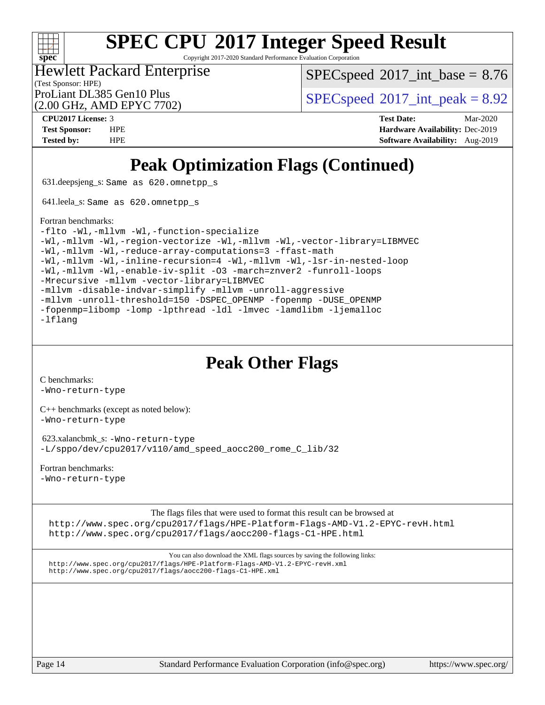

Copyright 2017-2020 Standard Performance Evaluation Corporation

## (Test Sponsor: HPE) Hewlett Packard Enterprise

 $SPECspeed^{\circ}2017\_int\_base = 8.76$  $SPECspeed^{\circ}2017\_int\_base = 8.76$ 

ProLiant DL385 Gen10 Plus  $SPEC speed@2017$ \_int\_peak = 8.92

# (2.00 GHz, AMD EPYC 7702)

**[CPU2017 License:](http://www.spec.org/auto/cpu2017/Docs/result-fields.html#CPU2017License)** 3 **[Test Date:](http://www.spec.org/auto/cpu2017/Docs/result-fields.html#TestDate)** Mar-2020 **[Test Sponsor:](http://www.spec.org/auto/cpu2017/Docs/result-fields.html#TestSponsor)** HPE **[Hardware Availability:](http://www.spec.org/auto/cpu2017/Docs/result-fields.html#HardwareAvailability)** Dec-2019 **[Tested by:](http://www.spec.org/auto/cpu2017/Docs/result-fields.html#Testedby)** HPE **[Software Availability:](http://www.spec.org/auto/cpu2017/Docs/result-fields.html#SoftwareAvailability)** Aug-2019

## **[Peak Optimization Flags \(Continued\)](http://www.spec.org/auto/cpu2017/Docs/result-fields.html#PeakOptimizationFlags)**

631.deepsjeng\_s: Same as 620.omnetpp\_s

641.leela\_s: Same as 620.omnetpp\_s

#### [Fortran benchmarks](http://www.spec.org/auto/cpu2017/Docs/result-fields.html#Fortranbenchmarks):

[-flto](http://www.spec.org/cpu2017/results/res2020q2/cpu2017-20200413-21969.flags.html#user_FCpeak_aocc-flto) [-Wl,-mllvm -Wl,-function-specialize](http://www.spec.org/cpu2017/results/res2020q2/cpu2017-20200413-21969.flags.html#user_FCpeak_F-function-specialize_7e7e661e57922243ee67c9a1251cb8910e607325179a0ce7f2884e09a6f5d4a5ef0ae4f37e8a2a11c95fc48e931f06dc2b6016f14b511fcb441e048bef1b065a) [-Wl,-mllvm -Wl,-region-vectorize](http://www.spec.org/cpu2017/results/res2020q2/cpu2017-20200413-21969.flags.html#user_FCpeak_F-region-vectorize_fb6c6b5aa293c88efc6c7c2b52b20755e943585b1fe8658c35afef78727fff56e1a56891413c30e36b8e2a6f9a71126986319243e80eb6110b78b288f533c52b) [-Wl,-mllvm -Wl,-vector-library=LIBMVEC](http://www.spec.org/cpu2017/results/res2020q2/cpu2017-20200413-21969.flags.html#user_FCpeak_F-use-vector-library_0a14b27fae317f283640384a31f7bfcc2bd4c1d0b5cfc618a3a430800c9b20217b00f61303eff223a3251b4f06ffbc9739dc5296db9d1fbb9ad24a3939d86d66) [-Wl,-mllvm -Wl,-reduce-array-computations=3](http://www.spec.org/cpu2017/results/res2020q2/cpu2017-20200413-21969.flags.html#user_FCpeak_F-reduce-array-computations_b882aefe7a5dda4e33149f6299762b9a720dace3e498e13756f4c04e5a19edf5315c1f3993de2e61ec41e8c206231f84e05da7040e1bb5d69ba27d10a12507e4) [-ffast-math](http://www.spec.org/cpu2017/results/res2020q2/cpu2017-20200413-21969.flags.html#user_FCpeak_aocc-ffast-math) [-Wl,-mllvm -Wl,-inline-recursion=4](http://www.spec.org/cpu2017/results/res2020q2/cpu2017-20200413-21969.flags.html#user_FCpeak_F-inline-recursion) [-Wl,-mllvm -Wl,-lsr-in-nested-loop](http://www.spec.org/cpu2017/results/res2020q2/cpu2017-20200413-21969.flags.html#user_FCpeak_F-lsr-in-nested-loop_de4bc7331d07d857538198a5cc9592bc905d78a18065d49b9acfd1f777ae9eca5716aaa3e0e674a48e2e5ec9dad184ee0c682635ad7eff4181b32ab748bf2f49) [-Wl,-mllvm -Wl,-enable-iv-split](http://www.spec.org/cpu2017/results/res2020q2/cpu2017-20200413-21969.flags.html#user_FCpeak_F-enable-iv-split_efc18925ba63acc4bb74cb6e43d0987b7b3cf01924ad910e2a6edbbbd0f8b582e31f1ee7ccede3f08176ef2ad41c69507170fb32301bf478d45ceb38dfb89c5e) [-O3](http://www.spec.org/cpu2017/results/res2020q2/cpu2017-20200413-21969.flags.html#user_FCpeak_F-O3) [-march=znver2](http://www.spec.org/cpu2017/results/res2020q2/cpu2017-20200413-21969.flags.html#user_FCpeak_aocc-march_3e2e19cff2eeef60c5d90b059483627c9ea47eca6d66670dbd53f9185f6439e27eb5e104cf773e9e8ab18c8842ce63e461a3e948d0214bd567ef3ade411bf467) [-funroll-loops](http://www.spec.org/cpu2017/results/res2020q2/cpu2017-20200413-21969.flags.html#user_FCpeak_aocc-unroll-loops) [-Mrecursive](http://www.spec.org/cpu2017/results/res2020q2/cpu2017-20200413-21969.flags.html#user_FCpeak_F-mrecursive_20a145d63f12d5750a899e17d4450b5b8b40330a9bb4af13688ca650e6fb30857bbbe44fb35cdbb895df6e5b2769de0a0d7659f51ff17acfbef6febafec4023f) [-mllvm -vector-library=LIBMVEC](http://www.spec.org/cpu2017/results/res2020q2/cpu2017-20200413-21969.flags.html#user_FCpeak_F-use-vector-library_e584e20b4f7ec96aa109254b65d8e01d864f3d68580371b9d93ed7c338191d4cfce20c3c864632264effc6bbe4c7c38153d02096a342ee92501c4a53204a7871) [-mllvm -disable-indvar-simplify](http://www.spec.org/cpu2017/results/res2020q2/cpu2017-20200413-21969.flags.html#user_FCpeak_F-disable-indvar-simplify_c8d861bf19eba5001219ab52ef051176e06bf3166017d5c1ce87aec66e795c6723d10bf23d5a91730d61ad4b3f566b39dd0a4d6e5b2af269ebae30428a1f3630) [-mllvm -unroll-aggressive](http://www.spec.org/cpu2017/results/res2020q2/cpu2017-20200413-21969.flags.html#user_FCpeak_F-unroll-aggressive_a366db20af3fd871754361e6b05945ac700b8c3fc538cc6688c755ae5874c6da3d6f3bb6e8d93320d5094064830fdb2c06064831f0f08d916cd8f333e5dba6d9) [-mllvm -unroll-threshold=150](http://www.spec.org/cpu2017/results/res2020q2/cpu2017-20200413-21969.flags.html#user_FCpeak_F-unroll-threshold_3352736ce55666ed13437f5f5fd6693920e68d4dfd26bba42492bb1c46b6d7692ff5ba7bd4d2ebdab48d140ca981a39154ff0664b4d322a66fc3d1aafa4d7ffe) [-DSPEC\\_OPENMP](http://www.spec.org/cpu2017/results/res2020q2/cpu2017-20200413-21969.flags.html#suite_FCpeak_DSPEC_OPENMP) [-fopenmp](http://www.spec.org/cpu2017/results/res2020q2/cpu2017-20200413-21969.flags.html#user_FCpeak_aocc-fopenmp) [-DUSE\\_OPENMP](http://www.spec.org/cpu2017/results/res2020q2/cpu2017-20200413-21969.flags.html#user_FCpeak_F-DUSE_OPENMP) [-fopenmp=libomp](http://www.spec.org/cpu2017/results/res2020q2/cpu2017-20200413-21969.flags.html#user_FCpeak_aocc-fopenmp_3eb6ab80166bcc84161ff8c20c8d5bc344f88119f45620444596454f7d72e99b7a0ceefc2d1b4d190bd07306bbfdfc20f11f5a2dc69c9b03c72239f8406741c3) [-lomp](http://www.spec.org/cpu2017/results/res2020q2/cpu2017-20200413-21969.flags.html#user_FCpeak_F-lomp) [-lpthread](http://www.spec.org/cpu2017/results/res2020q2/cpu2017-20200413-21969.flags.html#user_FCpeak_F-lpthread) [-ldl](http://www.spec.org/cpu2017/results/res2020q2/cpu2017-20200413-21969.flags.html#user_FCpeak_F-ldl) [-lmvec](http://www.spec.org/cpu2017/results/res2020q2/cpu2017-20200413-21969.flags.html#user_FCpeak_F-lmvec) [-lamdlibm](http://www.spec.org/cpu2017/results/res2020q2/cpu2017-20200413-21969.flags.html#user_FCpeak_F-lamdlibm) [-ljemalloc](http://www.spec.org/cpu2017/results/res2020q2/cpu2017-20200413-21969.flags.html#user_FCpeak_jemalloc-lib) [-lflang](http://www.spec.org/cpu2017/results/res2020q2/cpu2017-20200413-21969.flags.html#user_FCpeak_F-lflang)

## **[Peak Other Flags](http://www.spec.org/auto/cpu2017/Docs/result-fields.html#PeakOtherFlags)**

[C benchmarks](http://www.spec.org/auto/cpu2017/Docs/result-fields.html#Cbenchmarks):

[-Wno-return-type](http://www.spec.org/cpu2017/results/res2020q2/cpu2017-20200413-21969.flags.html#user_CCpeak_F-Waocc-no-return-type)

[C++ benchmarks \(except as noted below\):](http://www.spec.org/auto/cpu2017/Docs/result-fields.html#CXXbenchmarksexceptasnotedbelow) [-Wno-return-type](http://www.spec.org/cpu2017/results/res2020q2/cpu2017-20200413-21969.flags.html#user_CXXpeak_F-Waocc-no-return-type)

 623.xalancbmk\_s: [-Wno-return-type](http://www.spec.org/cpu2017/results/res2020q2/cpu2017-20200413-21969.flags.html#user_peakEXTRA_OPTIMIZE623_xalancbmk_s_F-Waocc-no-return-type) [-L/sppo/dev/cpu2017/v110/amd\\_speed\\_aocc200\\_rome\\_C\\_lib/32](http://www.spec.org/cpu2017/results/res2020q2/cpu2017-20200413-21969.flags.html#user_peakEXTRA_LIBS623_xalancbmk_s_Link_path_63ee90d89b3ac3fd9690bbddc2d02e7d850e915eeb963d28f446ad72eda1c299788b6eb12985a714479b71fcfca1b6bf541ff65c39f6615139e350b1e59e0bed)

[Fortran benchmarks](http://www.spec.org/auto/cpu2017/Docs/result-fields.html#Fortranbenchmarks):

[-Wno-return-type](http://www.spec.org/cpu2017/results/res2020q2/cpu2017-20200413-21969.flags.html#user_FCpeak_F-Waocc-no-return-type)

[The flags files that were used to format this result can be browsed at](tmsearch)

<http://www.spec.org/cpu2017/flags/HPE-Platform-Flags-AMD-V1.2-EPYC-revH.html> <http://www.spec.org/cpu2017/flags/aocc200-flags-C1-HPE.html>

[You can also download the XML flags sources by saving the following links:](tmsearch) <http://www.spec.org/cpu2017/flags/HPE-Platform-Flags-AMD-V1.2-EPYC-revH.xml> <http://www.spec.org/cpu2017/flags/aocc200-flags-C1-HPE.xml>